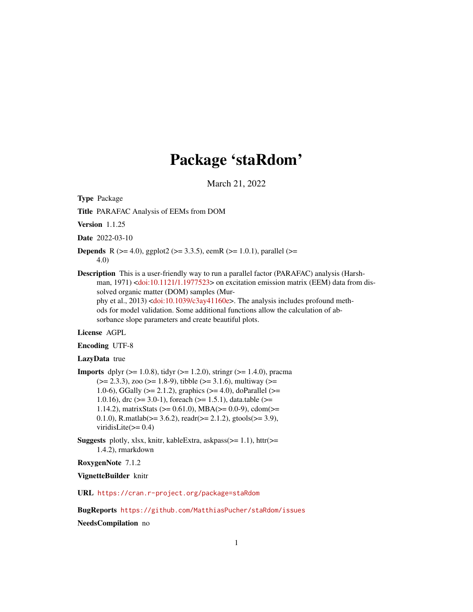# Package 'staRdom'

March 21, 2022

<span id="page-0-0"></span>Type Package

Title PARAFAC Analysis of EEMs from DOM

Version 1.1.25

Date 2022-03-10

- **Depends** R ( $>= 4.0$ ), ggplot2 ( $>= 3.3.5$ ), eemR ( $>= 1.0.1$ ), parallel ( $>= 1.0.1$ ) 4.0)
- Description This is a user-friendly way to run a parallel factor (PARAFAC) analysis (Harshman, 1971) [<doi:10.1121/1.1977523>](https://doi.org/10.1121/1.1977523) on excitation emission matrix (EEM) data from dissolved organic matter (DOM) samples (Murphy et al., 2013) [<doi:10.1039/c3ay41160e>](https://doi.org/10.1039/c3ay41160e). The analysis includes profound methods for model validation. Some additional functions allow the calculation of absorbance slope parameters and create beautiful plots.

#### License AGPL

#### Encoding UTF-8

#### LazyData true

- **Imports** dplyr ( $>= 1.0.8$ ), tidyr ( $>= 1.2.0$ ), stringr ( $>= 1.4.0$ ), pracma  $(>= 2.3.3)$ , zoo  $(>= 1.8-9)$ , tibble  $(>= 3.1.6)$ , multiway  $(>= 1.8-9)$ 1.0-6), GGally ( $>= 2.1.2$ ), graphics ( $>= 4.0$ ), doParallel ( $>=$ 1.0.16), drc ( $>= 3.0-1$ ), foreach ( $>= 1.5.1$ ), data.table ( $>=$ 1.14.2), matrixStats (>= 0.61.0), MBA(>= 0.0-9), cdom(>= 0.1.0), R.matlab( $>= 3.6.2$ ), readr( $>= 2.1.2$ ), gtools( $>= 3.9$ ), viridisLite(>= 0.4)
- **Suggests** plotly, xlsx, knitr, kableExtra, askpass( $>= 1.1$ ), httr( $>=$ 1.4.2), rmarkdown

RoxygenNote 7.1.2

VignetteBuilder knitr

URL <https://cran.r-project.org/package=staRdom>

BugReports <https://github.com/MatthiasPucher/staRdom/issues>

NeedsCompilation no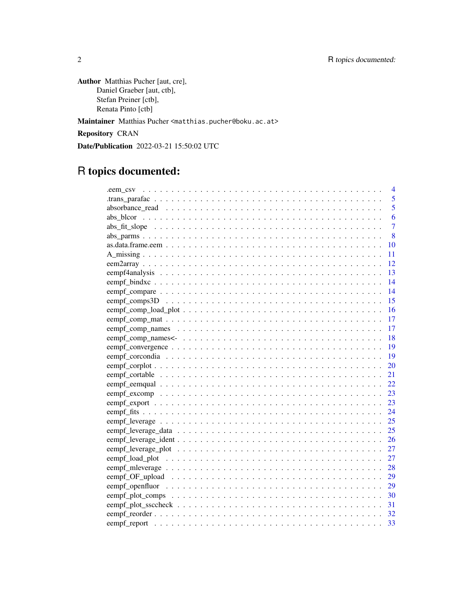Author Matthias Pucher [aut, cre], Daniel Graeber [aut, ctb], Stefan Preiner [ctb], Renata Pinto [ctb]

Maintainer Matthias Pucher <matthias.pucher@boku.ac.at>

Repository CRAN

Date/Publication 2022-03-21 15:50:02 UTC

# R topics documented:

| $\overline{4}$ |
|----------------|
| 5              |
| 5              |
| 6              |
| $\overline{7}$ |
| 8              |
| 10             |
| 11             |
| 12             |
| 13             |
| 14             |
| 14             |
| 15             |
| 16             |
|                |
| -17            |
| $-18$          |
|                |
| - 19           |
|                |
|                |
| 22             |
|                |
|                |
|                |
|                |
|                |
|                |
| 27             |
| 27             |
| 28             |
|                |
|                |
|                |
| 31             |
| 32             |
| 33             |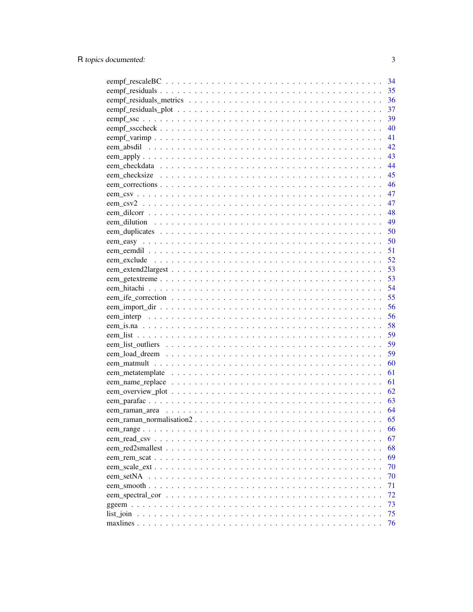|            | 34   |
|------------|------|
|            | 35   |
|            | 36   |
|            | 37   |
|            | 39   |
|            | 40   |
|            | 41   |
|            | 42   |
|            | 43   |
|            | -44  |
|            | 45   |
|            | - 46 |
|            | 47   |
|            | 47   |
|            | 48   |
|            | 49   |
|            | 50   |
|            | 50   |
|            | 51   |
|            | 52   |
|            | 53   |
|            | 53   |
|            | 54   |
|            | 55   |
|            | 56   |
|            | 56   |
|            | 58   |
|            | 59   |
|            | 59   |
|            | 59   |
|            | 60   |
|            | 61   |
|            | 61   |
|            | 62   |
|            | 63   |
|            | 64   |
|            | 65   |
|            | 66   |
|            | 67   |
|            | 68   |
|            | 69   |
|            | 70   |
| eem setNA  | 70   |
| eem smooth | 71   |
|            | 72   |
|            | 73   |
|            | 75   |
|            | 76   |
|            |      |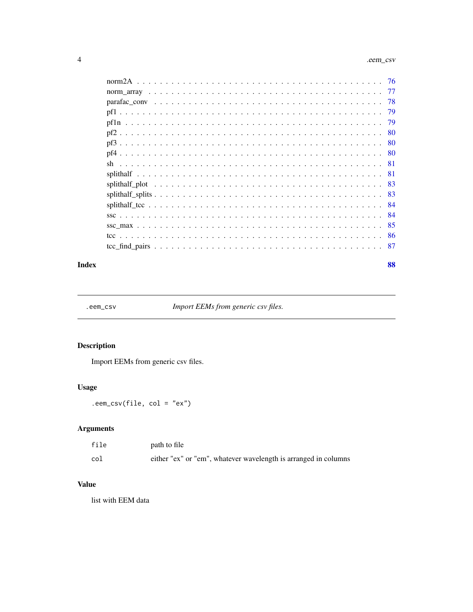<span id="page-3-0"></span>

| -79 |
|-----|
|     |
|     |
|     |
|     |
|     |
|     |
|     |
|     |
|     |
|     |
| -85 |
|     |
|     |

#### **Index [88](#page-87-0) Second Line Control Control Control Control Control Control Control Control Control Control Control Co**

.eem\_csv *Import EEMs from generic csv files.*

# Description

Import EEMs from generic csv files.

# Usage

.eem\_csv(file, col = "ex")

# Arguments

| file | path to file                                                    |
|------|-----------------------------------------------------------------|
| col  | either "ex" or "em", whatever wavelength is arranged in columns |

# Value

list with EEM data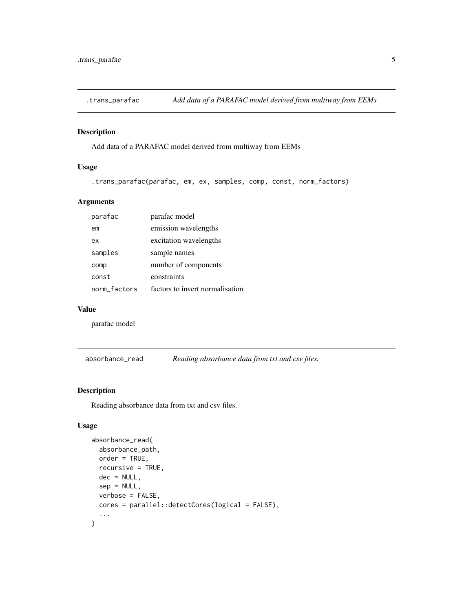<span id="page-4-0"></span>

# Description

Add data of a PARAFAC model derived from multiway from EEMs

# Usage

.trans\_parafac(parafac, em, ex, samples, comp, const, norm\_factors)

# Arguments

| parafac      | parafac model                   |
|--------------|---------------------------------|
| em           | emission wavelengths            |
| ex           | excitation wavelengths          |
| samples      | sample names                    |
| comp         | number of components            |
| const        | constraints                     |
| norm_factors | factors to invert normalisation |

#### Value

parafac model

<span id="page-4-1"></span>absorbance\_read *Reading absorbance data from txt and csv files.*

# Description

Reading absorbance data from txt and csv files.

#### Usage

```
absorbance_read(
  absorbance_path,
  order = TRUE,
  recursive = TRUE,
  dec = NULL,sep = NULL,verbose = FALSE,
  cores = parallel::detectCores(logical = FALSE),
  ...
\mathcal{E}
```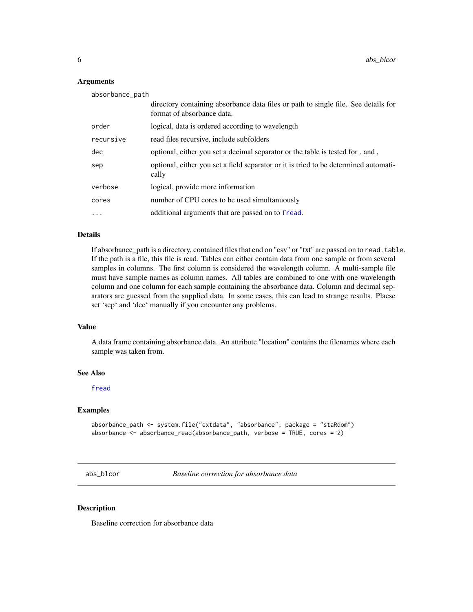#### Arguments

| absorbance_path |                                                                                                                  |
|-----------------|------------------------------------------------------------------------------------------------------------------|
|                 | directory containing absorbance data files or path to single file. See details for<br>format of absorbance data. |
| order           | logical, data is ordered according to wavelength                                                                 |
| recursive       | read files recursive, include subfolders                                                                         |
| dec             | optional, either you set a decimal separator or the table is tested for . and,                                   |
| sep             | optional, either you set a field separator or it is tried to be determined automati-<br>cally                    |
| verbose         | logical, provide more information                                                                                |
| cores           | number of CPU cores to be used simultanuously                                                                    |
| $\cdot$         | additional arguments that are passed on to fread.                                                                |

# Details

If absorbance\_path is a directory, contained files that end on "csv" or "txt" are passed on to read.table. If the path is a file, this file is read. Tables can either contain data from one sample or from several samples in columns. The first column is considered the wavelength column. A multi-sample file must have sample names as column names. All tables are combined to one with one wavelength column and one column for each sample containing the absorbance data. Column and decimal separators are guessed from the supplied data. In some cases, this can lead to strange results. Plaese set 'sep' and 'dec' manually if you encounter any problems.

#### Value

A data frame containing absorbance data. An attribute "location" contains the filenames where each sample was taken from.

#### See Also

[fread](#page-0-0)

#### Examples

```
absorbance_path <- system.file("extdata", "absorbance", package = "staRdom")
absorbance <- absorbance_read(absorbance_path, verbose = TRUE, cores = 2)
```
abs\_blcor *Baseline correction for absorbance data*

#### Description

Baseline correction for absorbance data

<span id="page-5-0"></span>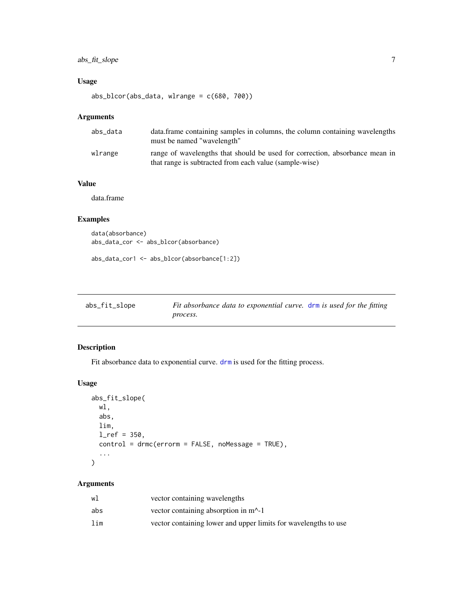# <span id="page-6-0"></span>abs\_fit\_slope 7

# Usage

abs\_blcor(abs\_data, wlrange = c(680, 700))

# Arguments

| abs_data | data. frame containing samples in columns, the column containing wavelengths<br>must be named "wavelength"                            |
|----------|---------------------------------------------------------------------------------------------------------------------------------------|
| wlrange  | range of wavelengths that should be used for correction, absorbance mean in<br>that range is subtracted from each value (sample-wise) |

# Value

data.frame

# Examples

```
data(absorbance)
abs_data_cor <- abs_blcor(absorbance)
```
abs\_data\_cor1 <- abs\_blcor(absorbance[1:2])

| abs_fit_slope | Fit absorbance data to exponential curve. drm is used for the fitting |  |
|---------------|-----------------------------------------------------------------------|--|
|               | process.                                                              |  |

# Description

Fit absorbance data to exponential curve. [drm](#page-0-0) is used for the fitting process.

# Usage

```
abs_fit_slope(
 wl,
  abs,
 lim,
 1_ref = 350,control = drmc(errorm = FALSE, noMessage = TRUE),
  ...
)
```
# Arguments

| wl  | vector containing wavelengths                                   |
|-----|-----------------------------------------------------------------|
| abs | vector containing absorption in $m2$ -1                         |
| lim | vector containing lower and upper limits for wavelengths to use |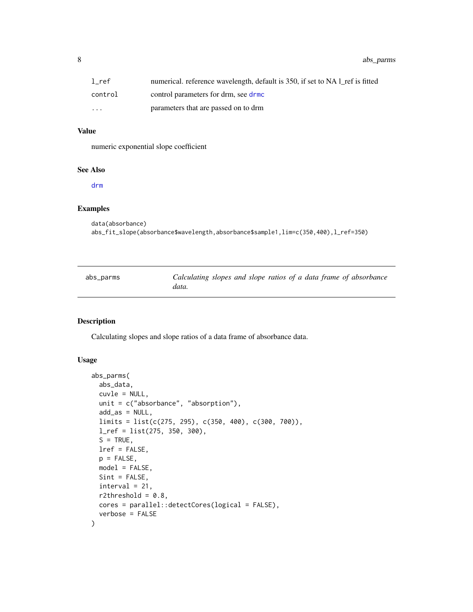# <span id="page-7-0"></span>8 abs\_parms

#### Value

numeric exponential slope coefficient

# See Also

[drm](#page-0-0)

# Examples

```
data(absorbance)
abs_fit_slope(absorbance$wavelength,absorbance$sample1,lim=c(350,400),l_ref=350)
```
<span id="page-7-1"></span>

| abs_parms | Calculating slopes and slope ratios of a data frame of absorbance |
|-----------|-------------------------------------------------------------------|
|           | data.                                                             |

#### Description

Calculating slopes and slope ratios of a data frame of absorbance data.

#### Usage

```
abs_parms(
  abs_data,
  cuvle = NULL,
  unit = c("absorbance", "absorption"),
  add_as = NULL,
  limits = list(c(275, 295), c(350, 400), c(300, 700)),
  l_ref = list(275, 350, 300),
  S = TRUE,lref = FALSE,
  p = FALSE,
 model = FALSE,
  Sint = FALSE,
  interval = 21,
  r2threshold = 0.8,
 cores = parallel::detectCores(logical = FALSE),
  verbose = FALSE
)
```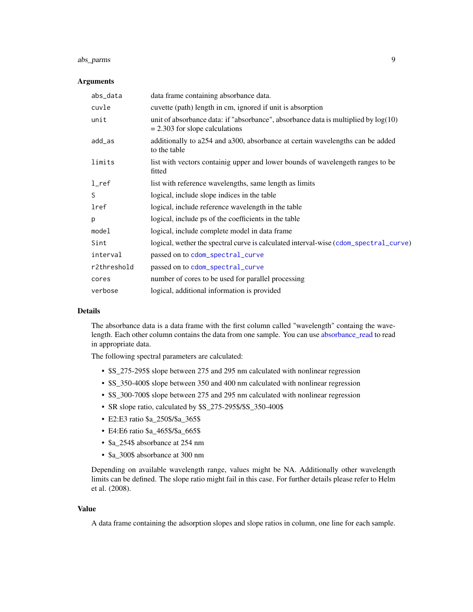# abs\_parms 9

#### Arguments

| abs_data           | data frame containing absorbance data.                                                                                   |
|--------------------|--------------------------------------------------------------------------------------------------------------------------|
| cuvle              | cuvette (path) length in cm, ignored if unit is absorption                                                               |
| unit               | unit of absorbance data: if "absorbance", absorbance data is multiplied by $log(10)$<br>$= 2.303$ for slope calculations |
| $add\_as$          | additionally to a254 and a300, absorbance at certain wavelengths can be added<br>to the table                            |
| limits             | list with vectors containig upper and lower bounds of wavelengeth ranges to be<br>fitted                                 |
| $1$ <sub>ref</sub> | list with reference wavelengths, same length as limits                                                                   |
| S                  | logical, include slope indices in the table                                                                              |
| lref               | logical, include reference wavelength in the table                                                                       |
| p                  | logical, include ps of the coefficients in the table                                                                     |
| model              | logical, include complete model in data frame.                                                                           |
| Sint               | logical, wether the spectral curve is calculated interval-wise (cdom_spectral_curve)                                     |
| interval           | passed on to cdom_spectral_curve                                                                                         |
| r2threshold        | passed on to cdom_spectral_curve                                                                                         |
| cores              | number of cores to be used for parallel processing                                                                       |
| verbose            | logical, additional information is provided                                                                              |

#### Details

The absorbance data is a data frame with the first column called "wavelength" containg the wavelength. Each other column contains the data from one sample. You can use [absorbance\\_read](#page-4-1) to read in appropriate data.

The following spectral parameters are calculated:

- \$S\_275-295\$ slope between 275 and 295 nm calculated with nonlinear regression
- \$S\_350-400\$ slope between 350 and 400 nm calculated with nonlinear regression
- \$S\_300-700\$ slope between 275 and 295 nm calculated with nonlinear regression
- SR slope ratio, calculated by \$S\_275-295\$/\$S\_350-400\$
- E2:E3 ratio \$a\_250\$/\$a\_365\$
- E4:E6 ratio \$a\_465\$/\$a\_665\$
- \$a\_254\$ absorbance at 254 nm
- \$a\_300\$ absorbance at 300 nm

Depending on available wavelength range, values might be NA. Additionally other wavelength limits can be defined. The slope ratio might fail in this case. For further details please refer to Helm et al. (2008).

#### Value

A data frame containing the adsorption slopes and slope ratios in column, one line for each sample.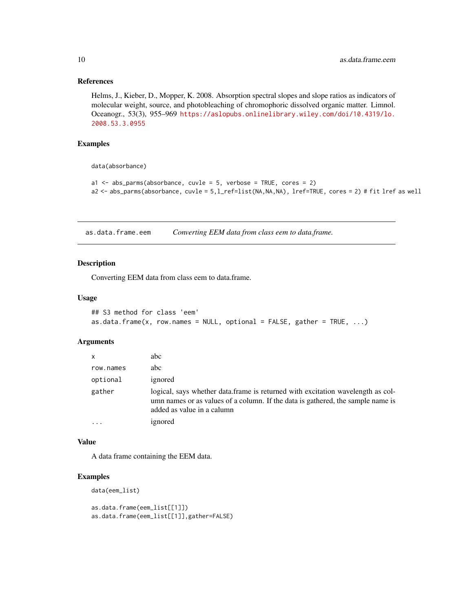#### References

Helms, J., Kieber, D., Mopper, K. 2008. Absorption spectral slopes and slope ratios as indicators of molecular weight, source, and photobleaching of chromophoric dissolved organic matter. Limnol. Oceanogr., 53(3), 955–969 [https://aslopubs.onlinelibrary.wiley.com/doi/10.4319/lo.](https://aslopubs.onlinelibrary.wiley.com/doi/10.4319/lo.2008.53.3.0955) [2008.53.3.0955](https://aslopubs.onlinelibrary.wiley.com/doi/10.4319/lo.2008.53.3.0955)

#### Examples

data(absorbance)

```
a1 \leq -abs_parms(absorbance, cuvle = 5, verbose = TRUE, cores = 2)
a2 <- abs_parms(absorbance, cuvle = 5,l_ref=list(NA,NA,NA), lref=TRUE, cores = 2) # fit lref as well
```
as.data.frame.eem *Converting EEM data from class eem to data.frame.*

#### Description

Converting EEM data from class eem to data.frame.

#### Usage

```
## S3 method for class 'eem'
as.data.frame(x, row.names = NULL, optional = FALSE, gather = TRUE, \ldots)
```
#### Arguments

| x         | abc                                                                                                                                                                                              |
|-----------|--------------------------------------------------------------------------------------------------------------------------------------------------------------------------------------------------|
| row.names | abc                                                                                                                                                                                              |
| optional  | ignored                                                                                                                                                                                          |
| gather    | logical, says whether data.frame is returned with excitation wavelength as col-<br>umn names or as values of a column. If the data is gathered, the sample name is<br>added as value in a calumn |
|           | ignored                                                                                                                                                                                          |

#### Value

A data frame containing the EEM data.

#### Examples

```
data(eem_list)
```

```
as.data.frame(eem_list[[1]])
as.data.frame(eem_list[[1]],gather=FALSE)
```
<span id="page-9-0"></span>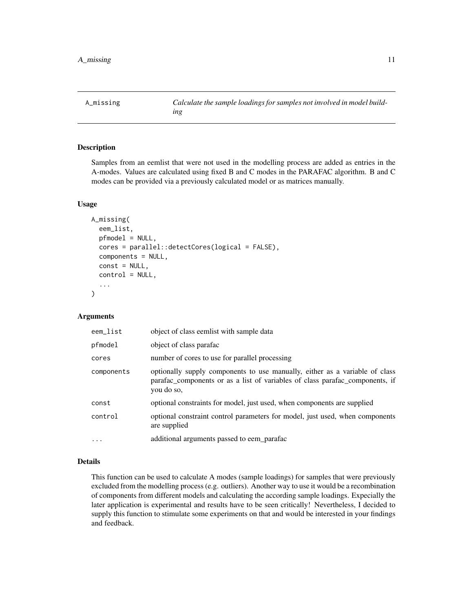<span id="page-10-0"></span>

#### Description

Samples from an eemlist that were not used in the modelling process are added as entries in the A-modes. Values are calculated using fixed B and C modes in the PARAFAC algorithm. B and C modes can be provided via a previously calculated model or as matrices manually.

#### Usage

```
A_missing(
  eem_list,
  pfmodel = NULL,
  cores = parallel::detectCores(logical = FALSE),
  components = NULL,
  const = NULL,control = NULL,
  ...
\mathcal{L}
```
#### Arguments

| eem_list   | object of class eemlist with sample data                                                                                                                                  |
|------------|---------------------------------------------------------------------------------------------------------------------------------------------------------------------------|
| pfmodel    | object of class parafac                                                                                                                                                   |
| cores      | number of cores to use for parallel processing                                                                                                                            |
| components | optionally supply components to use manually, either as a variable of class<br>parafac_components or as a list of variables of class parafac_components, if<br>you do so, |
| const      | optional constraints for model, just used, when components are supplied                                                                                                   |
| control    | optional constraint control parameters for model, just used, when components<br>are supplied                                                                              |
| $\ddotsc$  | additional arguments passed to eem parafac                                                                                                                                |

#### Details

This function can be used to calculate A modes (sample loadings) for samples that were previously excluded from the modelling process (e.g. outliers). Another way to use it would be a recombination of components from different models and calculating the according sample loadings. Expecially the later application is experimental and results have to be seen critically! Nevertheless, I decided to supply this function to stimulate some experiments on that and would be interested in your findings and feedback.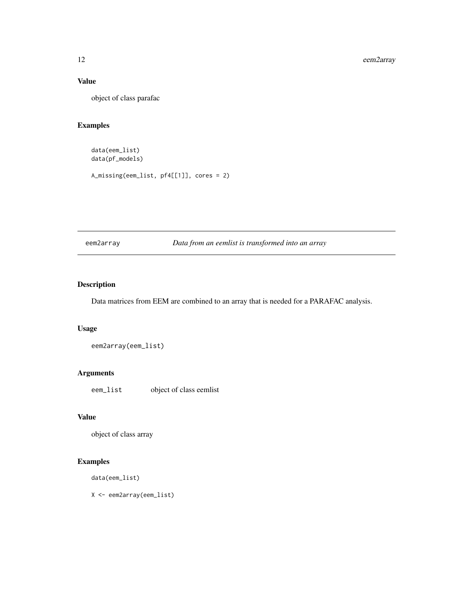# Value

object of class parafac

# Examples

data(eem\_list) data(pf\_models)

A\_missing(eem\_list, pf4[[1]], cores = 2)

eem2array *Data from an eemlist is transformed into an array*

# Description

Data matrices from EEM are combined to an array that is needed for a PARAFAC analysis.

# Usage

eem2array(eem\_list)

# Arguments

eem\_list object of class eemlist

# Value

object of class array

# Examples

data(eem\_list)

X <- eem2array(eem\_list)

<span id="page-11-0"></span>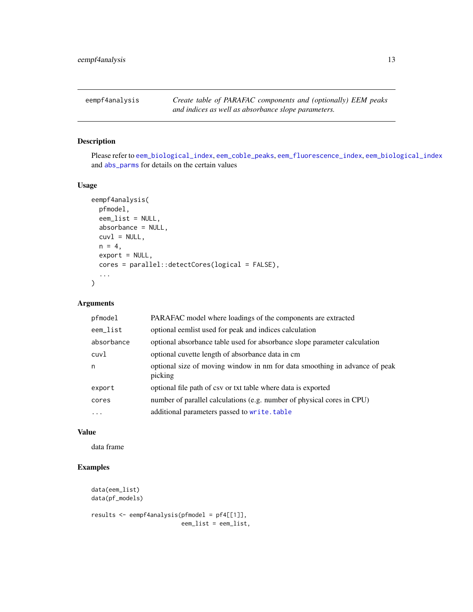<span id="page-12-0"></span>eempf4analysis *Create table of PARAFAC components and (optionally) EEM peaks and indices as well as absorbance slope parameters.*

# Description

Please refer to [eem\\_biological\\_index](#page-0-0), [eem\\_coble\\_peaks](#page-0-0), [eem\\_fluorescence\\_index](#page-0-0), [eem\\_biological\\_index](#page-0-0) and [abs\\_parms](#page-7-1) for details on the certain values

#### Usage

```
eempf4analysis(
 pfmodel,
  eem_list = NULL,
  absorbance = NULL,
  cuv1 = NULL,n = 4,
 export = NULL,cores = parallel::detectCores(logical = FALSE),
  ...
)
```
# Arguments

| pfmodel    | PARAFAC model where loadings of the components are extracted                          |
|------------|---------------------------------------------------------------------------------------|
| eem_list   | optional eemlist used for peak and indices calculation                                |
| absorbance | optional absorbance table used for absorbance slope parameter calculation             |
| cuvl       | optional cuvette length of absorbance data in cm                                      |
| n          | optional size of moving window in nm for data smoothing in advance of peak<br>picking |
| export     | optional file path of csv or txt table where data is exported                         |
| cores      | number of parallel calculations (e.g. number of physical cores in CPU)                |
| $\ddots$   | additional parameters passed to write.table                                           |

#### Value

data frame

# Examples

```
data(eem_list)
data(pf_models)
results <- eempf4analysis(pfmodel = pf4[[1]],
                          eem_list = eem_list,
```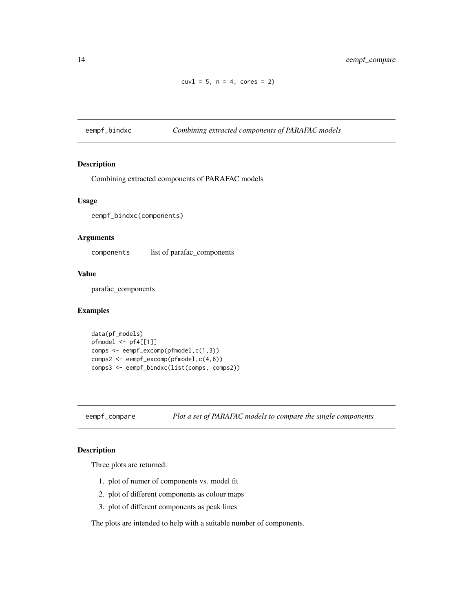```
cuv1 = 5, n = 4, cores = 2)
```
<span id="page-13-0"></span>eempf\_bindxc *Combining extracted components of PARAFAC models*

#### Description

Combining extracted components of PARAFAC models

#### Usage

```
eempf_bindxc(components)
```
#### Arguments

components list of parafac\_components

#### Value

parafac\_components

# Examples

```
data(pf_models)
pfmodel <- pf4[[1]]
comps <- eempf_excomp(pfmodel,c(1,3))
comps2 <- eempf_excomp(pfmodel,c(4,6))
comps3 <- eempf_bindxc(list(comps, comps2))
```
eempf\_compare *Plot a set of PARAFAC models to compare the single components*

# Description

Three plots are returned:

- 1. plot of numer of components vs. model fit
- 2. plot of different components as colour maps
- 3. plot of different components as peak lines

The plots are intended to help with a suitable number of components.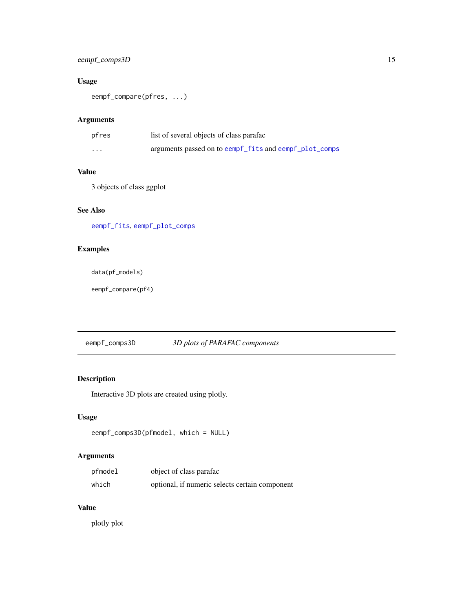# <span id="page-14-0"></span>eempf\_comps3D 15

# Usage

eempf\_compare(pfres, ...)

# Arguments

| pfres    | list of several objects of class parafac               |
|----------|--------------------------------------------------------|
| $\cdots$ | arguments passed on to eempf fits and eempf plot comps |

# Value

3 objects of class ggplot

# See Also

[eempf\\_fits](#page-23-1), [eempf\\_plot\\_comps](#page-29-1)

# Examples

```
data(pf_models)
```
eempf\_compare(pf4)

# eempf\_comps3D *3D plots of PARAFAC components*

# Description

Interactive 3D plots are created using plotly.

# Usage

```
eempf_comps3D(pfmodel, which = NULL)
```
# Arguments

| pfmodel | object of class parafac                        |
|---------|------------------------------------------------|
| which   | optional, if numeric selects certain component |

#### Value

plotly plot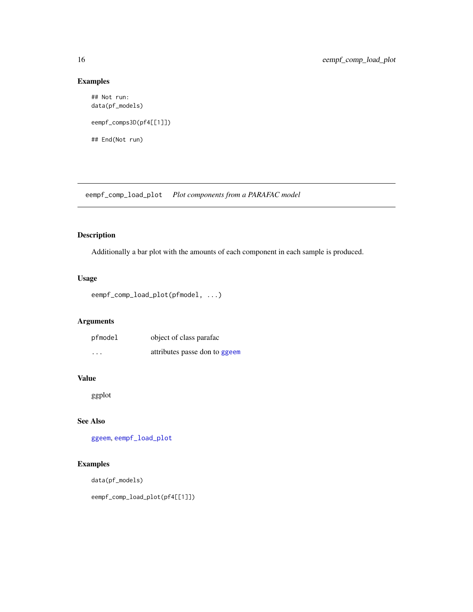# Examples

```
## Not run:
data(pf_models)
eempf_comps3D(pf4[[1]])
## End(Not run)
```
eempf\_comp\_load\_plot *Plot components from a PARAFAC model*

# Description

Additionally a bar plot with the amounts of each component in each sample is produced.

# Usage

```
eempf_comp_load_plot(pfmodel, ...)
```
# Arguments

| pfmodel  | object of class parafac       |
|----------|-------------------------------|
| $\cdots$ | attributes passe don to ggeem |

# Value

ggplot

# See Also

[ggeem](#page-72-1), [eempf\\_load\\_plot](#page-26-1)

# Examples

```
data(pf_models)
```
eempf\_comp\_load\_plot(pf4[[1]])

<span id="page-15-0"></span>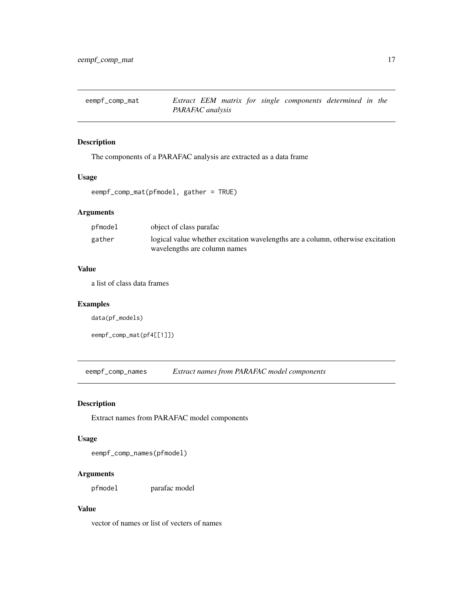<span id="page-16-0"></span>

#### Description

The components of a PARAFAC analysis are extracted as a data frame

#### Usage

eempf\_comp\_mat(pfmodel, gather = TRUE)

# Arguments

| pfmodel | object of class parafac                                                                                         |
|---------|-----------------------------------------------------------------------------------------------------------------|
| gather  | logical value whether excitation wavelengths are a column, otherwise excitation<br>wavelengths are column names |

# Value

a list of class data frames

#### Examples

```
data(pf_models)
```

```
eempf_comp_mat(pf4[[1]])
```
eempf\_comp\_names *Extract names from PARAFAC model components*

# Description

Extract names from PARAFAC model components

#### Usage

eempf\_comp\_names(pfmodel)

# Arguments

pfmodel parafac model

#### Value

vector of names or list of vecters of names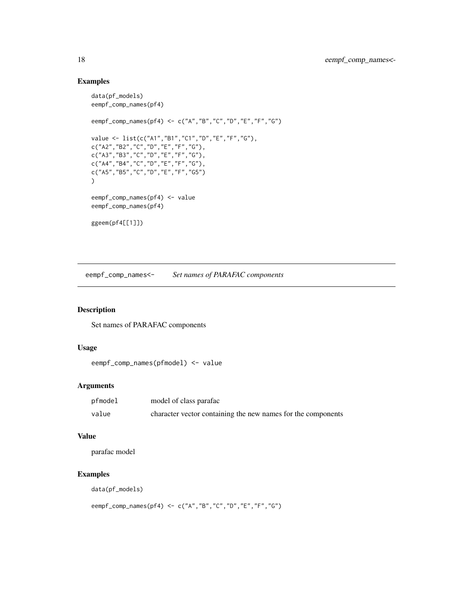# Examples

```
data(pf_models)
eempf_comp_names(pf4)
eempf_comp_names(pf4) <- c("A","B","C","D","E","F","G")
value <- list(c("A1","B1","C1","D","E","F","G"),
c("A2","B2","C","D","E","F","G"),
c("A3","B3","C","D","E","F","G"),
c("A4","B4","C","D","E","F","G"),
c("A5","B5","C","D","E","F","G5")
)
eempf_comp_names(pf4) <- value
eempf_comp_names(pf4)
ggeem(pf4[[1]])
```
eempf\_comp\_names<- *Set names of PARAFAC components*

#### Description

Set names of PARAFAC components

#### Usage

```
eempf_comp_names(pfmodel) <- value
```
#### Arguments

| pfmodel | model of class parafac                                       |
|---------|--------------------------------------------------------------|
| value   | character vector containing the new names for the components |

#### Value

parafac model

# Examples

data(pf\_models)

eempf\_comp\_names(pf4) <- c("A","B","C","D","E","F","G")

<span id="page-17-0"></span>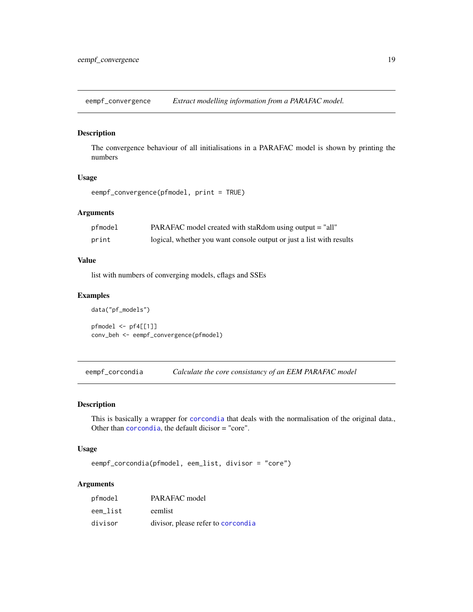<span id="page-18-0"></span>eempf\_convergence *Extract modelling information from a PARAFAC model.*

#### Description

The convergence behaviour of all initialisations in a PARAFAC model is shown by printing the numbers

# Usage

```
eempf_convergence(pfmodel, print = TRUE)
```
#### Arguments

| pfmodel | PARAFAC model created with staRdom using output $=$ "all"            |
|---------|----------------------------------------------------------------------|
| print   | logical, whether you want console output or just a list with results |

#### Value

list with numbers of converging models, cflags and SSEs

#### Examples

```
data("pf_models")
pfmodel <- pf4[[1]]
conv_beh <- eempf_convergence(pfmodel)
```
eempf\_corcondia *Calculate the core consistancy of an EEM PARAFAC model*

#### Description

This is basically a wrapper for [corcondia](#page-0-0) that deals with the normalisation of the original data., Other than [corcondia](#page-0-0), the default dicisor = "core".

#### Usage

```
eempf_corcondia(pfmodel, eem_list, divisor = "core")
```
# Arguments

| pfmodel  | PARAFAC model                      |
|----------|------------------------------------|
| eem list | eemlist                            |
| divisor  | divisor, please refer to corcondia |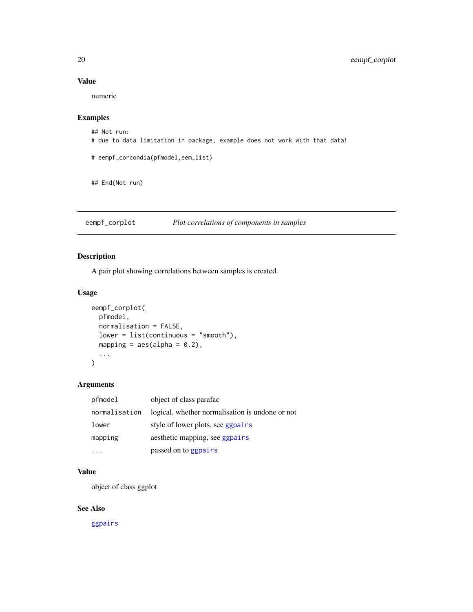# Value

numeric

# Examples

```
## Not run:
# due to data limitation in package, example does not work with that data!
# eempf_corcondia(pfmodel,eem_list)
```

```
## End(Not run)
```
eempf\_corplot *Plot correlations of components in samples*

# Description

A pair plot showing correlations between samples is created.

# Usage

```
eempf_corplot(
 pfmodel,
 normalisation = FALSE,
 lower = list(continuous = "smooth"),
 mapping = aes(alpha = 0.2),
  ...
)
```
#### Arguments

| pfmodel       | object of class parafac                         |
|---------------|-------------------------------------------------|
| normalisation | logical, whether normalisation is undone or not |
| lower         | style of lower plots, see ggpairs               |
| mapping       | aesthetic mapping, see ggpairs                  |
|               | passed on to ggpairs                            |

# Value

object of class ggplot

# See Also

[ggpairs](#page-0-0)

<span id="page-19-0"></span>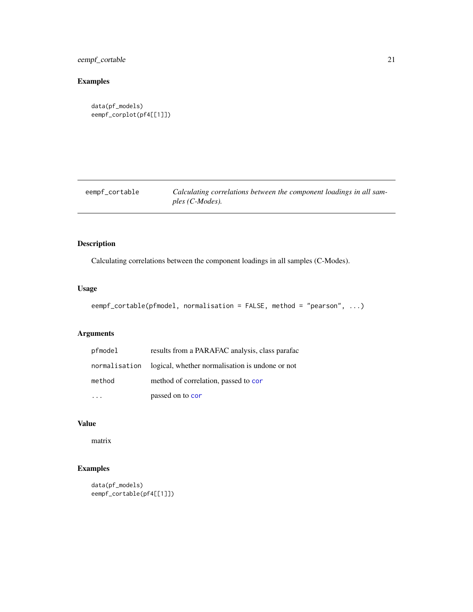# <span id="page-20-0"></span>eempf\_cortable 21

# Examples

```
data(pf_models)
eempf_corplot(pf4[[1]])
```
eempf\_cortable *Calculating correlations between the component loadings in all samples (C-Modes).*

# Description

Calculating correlations between the component loadings in all samples (C-Modes).

# Usage

eempf\_cortable(pfmodel, normalisation = FALSE, method = "pearson", ...)

# Arguments

| pfmodel       | results from a PARAFAC analysis, class parafac  |
|---------------|-------------------------------------------------|
| normalisation | logical, whether normalisation is undone or not |
| method        | method of correlation, passed to cor            |
|               | passed on to cor                                |

#### Value

matrix

# Examples

```
data(pf_models)
eempf_cortable(pf4[[1]])
```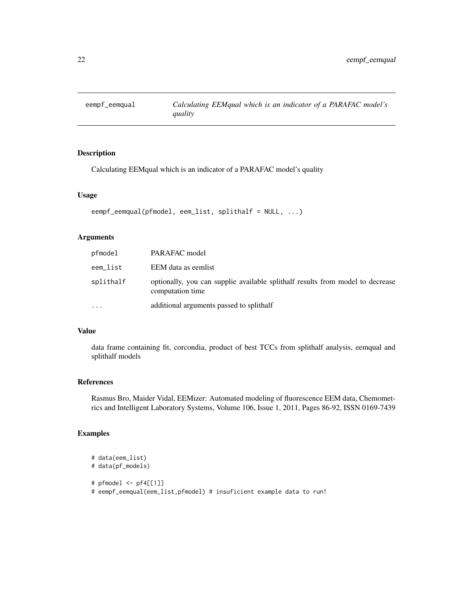<span id="page-21-1"></span><span id="page-21-0"></span>

# Description

Calculating EEMqual which is an indicator of a PARAFAC model's quality

#### Usage

```
eempf_eemqual(pfmodel, eem_list, splithalf = NULL, ...)
```
#### Arguments

| pfmodel   | PARAFAC model                                                                                      |
|-----------|----------------------------------------------------------------------------------------------------|
| eem_list  | EEM data as eemlist                                                                                |
| splithalf | optionally, you can supplie available splithalf results from model to decrease<br>computation time |
| $\ddotsc$ | additional arguments passed to splithalf                                                           |

#### Value

data frame containing fit, corcondia, product of best TCCs from splithalf analysis, eemqual and splithalf models

# References

Rasmus Bro, Maider Vidal, EEMizer: Automated modeling of fluorescence EEM data, Chemometrics and Intelligent Laboratory Systems, Volume 106, Issue 1, 2011, Pages 86-92, ISSN 0169-7439

# Examples

```
# data(eem_list)
# data(pf_models)
# pfmodel <- pf4[[1]]
# eempf_eemqual(eem_list,pfmodel) # insuficient example data to run!
```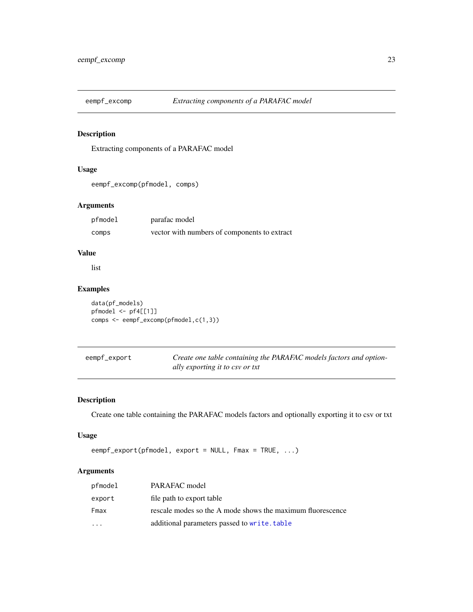<span id="page-22-0"></span>

# Description

Extracting components of a PARAFAC model

# Usage

```
eempf_excomp(pfmodel, comps)
```
# Arguments

| pfmodel | parafac model                                |
|---------|----------------------------------------------|
| comps   | vector with numbers of components to extract |

#### Value

list

# Examples

data(pf\_models) pfmodel <- pf4[[1]] comps <- eempf\_excomp(pfmodel,c(1,3))

| eempf_export | Create one table containing the PARAFAC models factors and option- |
|--------------|--------------------------------------------------------------------|
|              | ally exporting it to csy or txt                                    |

# Description

Create one table containing the PARAFAC models factors and optionally exporting it to csv or txt

#### Usage

```
eempf_export(pfmodel, export = NULL, Fmax = TRUE, ...)
```
# Arguments

| pfmodel                 | PARAFAC model                                              |
|-------------------------|------------------------------------------------------------|
| export                  | file path to export table                                  |
| Fmax                    | rescale modes so the A mode shows the maximum fluorescence |
| $\cdot$ $\cdot$ $\cdot$ | additional parameters passed to write.table                |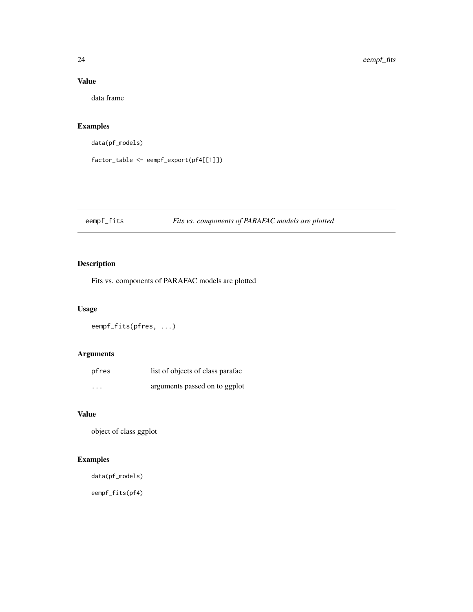# Value

data frame

# Examples

```
data(pf_models)
```
factor\_table <- eempf\_export(pf4[[1]])

# <span id="page-23-1"></span>eempf\_fits *Fits vs. components of PARAFAC models are plotted*

# Description

Fits vs. components of PARAFAC models are plotted

# Usage

eempf\_fits(pfres, ...)

# Arguments

| pfres    | list of objects of class parafac |
|----------|----------------------------------|
| $\cdots$ | arguments passed on to ggplot    |

# Value

object of class ggplot

# Examples

data(pf\_models)

eempf\_fits(pf4)

<span id="page-23-0"></span>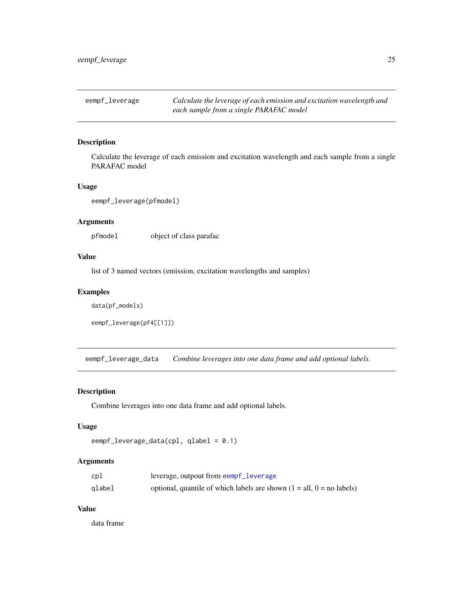<span id="page-24-1"></span><span id="page-24-0"></span>eempf\_leverage *Calculate the leverage of each emission and excitation wavelength and each sample from a single PARAFAC model*

#### Description

Calculate the leverage of each emission and excitation wavelength and each sample from a single PARAFAC model

#### Usage

```
eempf_leverage(pfmodel)
```
#### Arguments

pfmodel object of class parafac

#### Value

list of 3 named vectors (emission, excitation wavelengths and samples)

#### Examples

data(pf\_models)

```
eempf_leverage(pf4[[1]])
```
eempf\_leverage\_data *Combine leverages into one data frame and add optional labels.*

#### Description

Combine leverages into one data frame and add optional labels.

#### Usage

```
eempf_leverage_data(cpl, qlabel = 0.1)
```
#### Arguments

| cpl    | leverage, outpout from eempf_leverage                                   |
|--------|-------------------------------------------------------------------------|
| qlabel | optional, quantile of which labels are shown $(1 = all, 0 = no$ labels) |

#### Value

data frame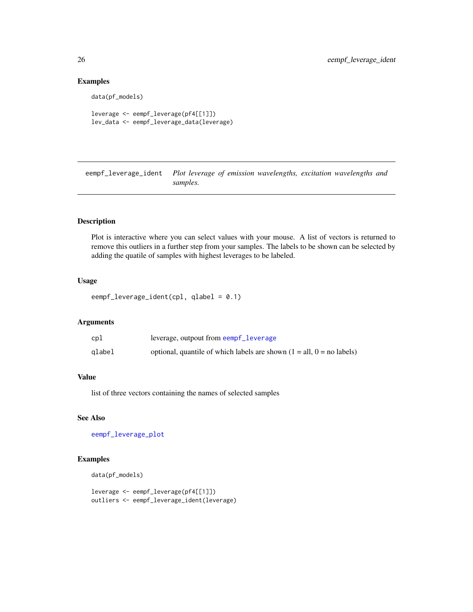## Examples

```
data(pf_models)
```

```
leverage <- eempf_leverage(pf4[[1]])
lev_data <- eempf_leverage_data(leverage)
```
<span id="page-25-1"></span>eempf\_leverage\_ident *Plot leverage of emission wavelengths, excitation wavelengths and samples.*

# Description

Plot is interactive where you can select values with your mouse. A list of vectors is returned to remove this outliers in a further step from your samples. The labels to be shown can be selected by adding the quatile of samples with highest leverages to be labeled.

# Usage

eempf\_leverage\_ident(cpl, qlabel = 0.1)

#### Arguments

| cpl    | leverage, outpout from eempf_leverage                                   |
|--------|-------------------------------------------------------------------------|
| qlabel | optional, quantile of which labels are shown $(1 = all, 0 = no$ labels) |

#### Value

list of three vectors containing the names of selected samples

#### See Also

[eempf\\_leverage\\_plot](#page-26-2)

# Examples

```
data(pf_models)
```
leverage <- eempf\_leverage(pf4[[1]]) outliers <- eempf\_leverage\_ident(leverage)

<span id="page-25-0"></span>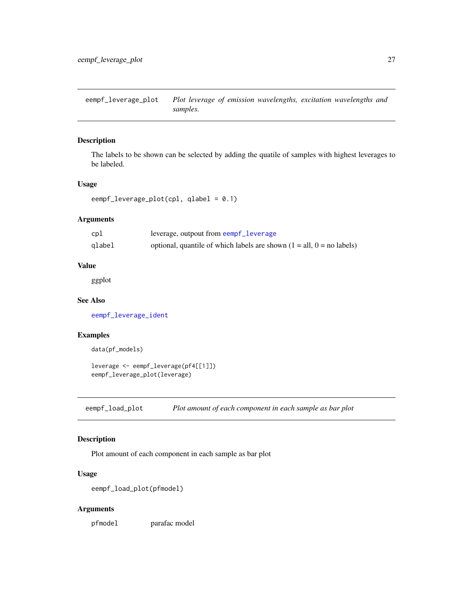<span id="page-26-2"></span><span id="page-26-0"></span>eempf\_leverage\_plot *Plot leverage of emission wavelengths, excitation wavelengths and samples.*

## Description

The labels to be shown can be selected by adding the quatile of samples with highest leverages to be labeled.

#### Usage

```
eempf_leverage_plot(cpl, qlabel = 0.1)
```
#### Arguments

| cpl    | leverage, outpout from eempf_leverage                                   |
|--------|-------------------------------------------------------------------------|
| qlabel | optional, quantile of which labels are shown $(1 = all, 0 = no$ labels) |

#### Value

ggplot

#### See Also

[eempf\\_leverage\\_ident](#page-25-1)

# Examples

data(pf\_models)

```
leverage <- eempf_leverage(pf4[[1]])
eempf_leverage_plot(leverage)
```
<span id="page-26-1"></span>eempf\_load\_plot *Plot amount of each component in each sample as bar plot*

#### Description

Plot amount of each component in each sample as bar plot

# Usage

```
eempf_load_plot(pfmodel)
```
# Arguments

pfmodel parafac model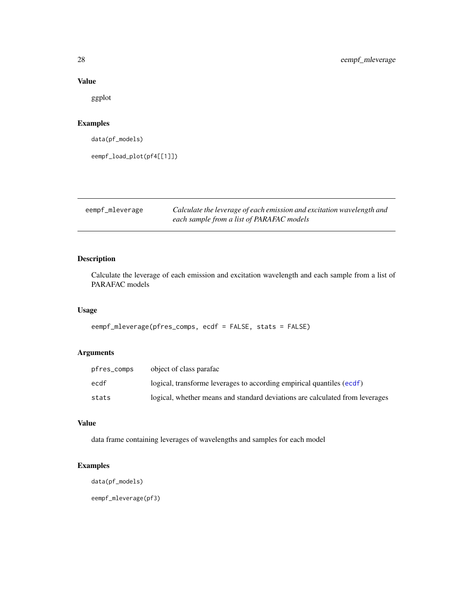#### Value

ggplot

# Examples

data(pf\_models)

eempf\_load\_plot(pf4[[1]])

eempf\_mleverage *Calculate the leverage of each emission and excitation wavelength and each sample from a list of PARAFAC models*

# Description

Calculate the leverage of each emission and excitation wavelength and each sample from a list of PARAFAC models

## Usage

```
eempf_mleverage(pfres_comps, ecdf = FALSE, stats = FALSE)
```
# Arguments

| pfres_comps | object of class parafac                                                      |
|-------------|------------------------------------------------------------------------------|
| ecdf        | logical, transforme leverages to according empirical quantiles (ecdf)        |
| stats       | logical, whether means and standard deviations are calculated from leverages |

# Value

data frame containing leverages of wavelengths and samples for each model

# Examples

```
data(pf_models)
```
eempf\_mleverage(pf3)

<span id="page-27-0"></span>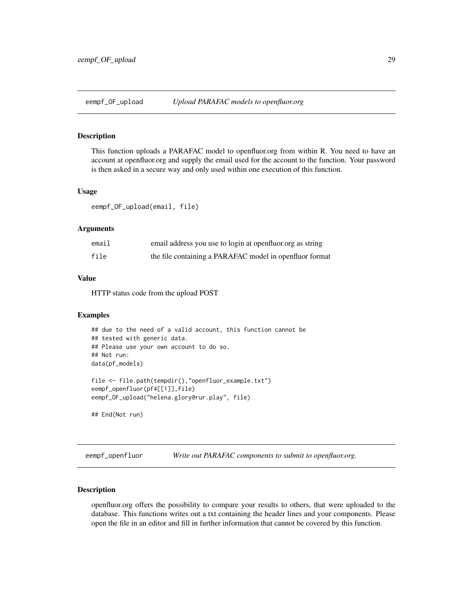<span id="page-28-0"></span>

# Description

This function uploads a PARAFAC model to openfluor.org from within R. You need to have an account at openfluor.org and supply the email used for the account to the function. Your password is then asked in a secure way and only used within one execution of this function.

#### Usage

eempf\_OF\_upload(email, file)

#### Arguments

| email | email address you use to login at openfluor org as string |
|-------|-----------------------------------------------------------|
| file  | the file containing a PARAFAC model in openfluor format   |

#### Value

HTTP status code from the upload POST

#### Examples

```
## due to the need of a valid account, this function cannot be
## tested with generic data.
## Please use your own account to do so.
## Not run:
data(pf_models)
file <- file.path(tempdir(),"openfluor_example.txt")
eempf_openfluor(pf4[[1]],file)
eempf_OF_upload("helena.glory@rur.play", file)
```
## End(Not run)

eempf\_openfluor *Write out PARAFAC components to submit to openfluor.org.*

#### Description

openfluor.org offers the possibility to compare your results to others, that were uploaded to the database. This functions writes out a txt containing the header lines and your components. Please open the file in an editor and fill in further information that cannot be covered by this function.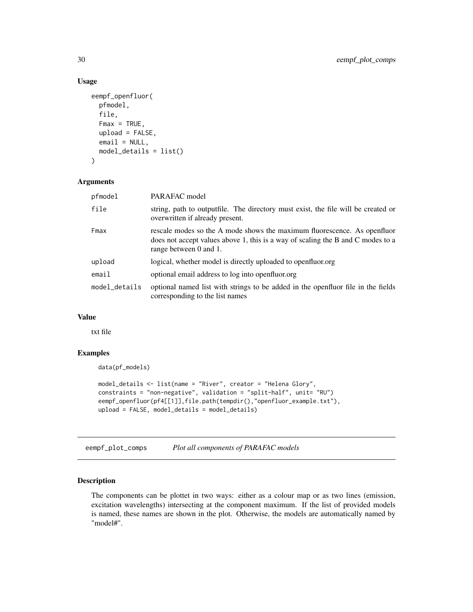# Usage

```
eempf_openfluor(
  pfmodel,
  file,
  Fmax = TRUE,upload = FALSE,
  email = NULL,model_details = list()
)
```
#### Arguments

| pfmodel       | PARAFAC model                                                                                                                                                                         |
|---------------|---------------------------------------------------------------------------------------------------------------------------------------------------------------------------------------|
| file          | string, path to outputfile. The directory must exist, the file will be created or<br>overwritten if already present.                                                                  |
| Fmax          | rescale modes so the A mode shows the maximum fluorescence. As openfluor<br>does not accept values above 1, this is a way of scaling the B and C modes to a<br>range between 0 and 1. |
| upload        | logical, whether model is directly uploaded to openfluor.org                                                                                                                          |
| email         | optional email address to log into openfluor.org                                                                                                                                      |
| model_details | optional named list with strings to be added in the openfluor file in the fields<br>corresponding to the list names                                                                   |

#### Value

txt file

# Examples

```
data(pf_models)
model_details <- list(name = "River", creator = "Helena Glory",
constraints = "non-negative", validation = "split-half", unit= "RU")
eempf_openfluor(pf4[[1]],file.path(tempdir(),"openfluor_example.txt"),
upload = FALSE, model_details = model_details)
```
<span id="page-29-1"></span>eempf\_plot\_comps *Plot all components of PARAFAC models*

#### Description

The components can be plottet in two ways: either as a colour map or as two lines (emission, excitation wavelengths) intersecting at the component maximum. If the list of provided models is named, these names are shown in the plot. Otherwise, the models are automatically named by "model#".

<span id="page-29-0"></span>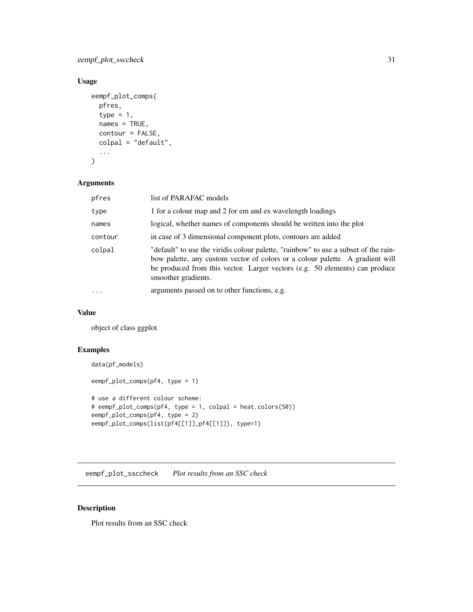<span id="page-30-0"></span>eempf\_plot\_ssccheck 31

# Usage

```
eempf_plot_comps(
  pfres,
  type = 1,
  names = TRUE,contour = FALSE,
  colpal = "default",
  ...
\mathcal{L}
```
# Arguments

| pfres    | list of PARAFAC models                                                                                                                                                                                                                                                     |
|----------|----------------------------------------------------------------------------------------------------------------------------------------------------------------------------------------------------------------------------------------------------------------------------|
| type     | 1 for a colour map and 2 for em and ex wavelength loadings                                                                                                                                                                                                                 |
| names    | logical, whether names of components should be written into the plot                                                                                                                                                                                                       |
| contour  | in case of 3 dimensional component plots, contours are added                                                                                                                                                                                                               |
| colpal   | "default" to use the viridis colour palette, "rainbow" to use a subset of the rain-<br>bow palette, any custom vector of colors or a colour palette. A gradient will<br>be produced from this vector. Larger vectors (e.g. 50 elements) can produce<br>smoother gradients. |
| $\cdots$ | arguments passed on to other functions, e.g.                                                                                                                                                                                                                               |

#### Value

object of class ggplot

#### Examples

```
data(pf_models)
eempf_plot_comps(pf4, type = 1)
# use a different colour scheme:
# eempf_plot_comps(pf4, type = 1, colpal = heat.colors(50))
eempf_plot_comps(pf4, type = 2)
eempf_plot_comps(list(pf4[[1]],pf4[[1]]), type=1)
```
eempf\_plot\_ssccheck *Plot results from an SSC check*

# Description

Plot results from an SSC check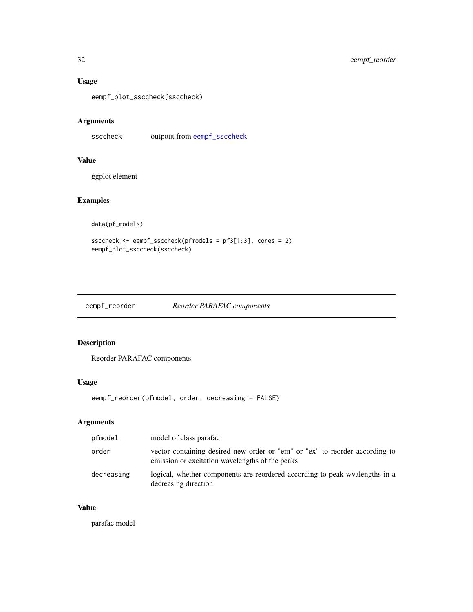# <span id="page-31-0"></span>Usage

eempf\_plot\_ssccheck(ssccheck)

# Arguments

ssccheck outpout from [eempf\\_ssccheck](#page-39-1)

# Value

ggplot element

# Examples

data(pf\_models)

```
ssccheck <- eempf_ssccheck(pfmodels = pf3[1:3], cores = 2)
eempf_plot_ssccheck(ssccheck)
```
# eempf\_reorder *Reorder PARAFAC components*

# Description

Reorder PARAFAC components

# Usage

eempf\_reorder(pfmodel, order, decreasing = FALSE)

# Arguments

| pfmodel    | model of class parafac                                                                                                         |
|------------|--------------------------------------------------------------------------------------------------------------------------------|
| order      | vector containing desired new order or "em" or "ex" to reorder according to<br>emission or excitation wavelengths of the peaks |
| decreasing | logical, whether components are reordered according to peak wyalengths in a<br>decreasing direction                            |

#### Value

parafac model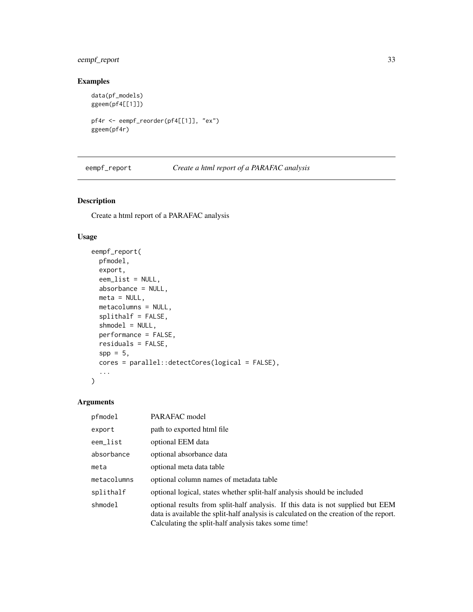# <span id="page-32-0"></span>eempf\_report 33

# Examples

```
data(pf_models)
ggeem(pf4[[1]])
pf4r <- eempf_reorder(pf4[[1]], "ex")
ggeem(pf4r)
```
eempf\_report *Create a html report of a PARAFAC analysis*

# Description

Create a html report of a PARAFAC analysis

#### Usage

```
eempf_report(
 pfmodel,
  export,
  eem_list = NULL,
  absorbance = NULL,
 meta = NULL,
 metacolumns = NULL,
  splithalf = FALSE,
  shmodel = NULL,
 performance = FALSE,
 residuals = FALSE,
  spp = 5,
  cores = parallel::detectCores(logical = FALSE),
  ...
)
```
# Arguments

| pfmodel     | PARAFAC model                                                                                                                                                                                                                     |
|-------------|-----------------------------------------------------------------------------------------------------------------------------------------------------------------------------------------------------------------------------------|
| export      | path to exported html file                                                                                                                                                                                                        |
| eem_list    | optional EEM data                                                                                                                                                                                                                 |
| absorbance  | optional absorbance data                                                                                                                                                                                                          |
| meta        | optional meta data table                                                                                                                                                                                                          |
| metacolumns | optional column names of metadata table                                                                                                                                                                                           |
| splithalf   | optional logical, states whether split-half analysis should be included                                                                                                                                                           |
| shmodel     | optional results from split-half analysis. If this data is not supplied but EEM<br>data is available the split-half analysis is calculated on the creation of the report.<br>Calculating the split-half analysis takes some time! |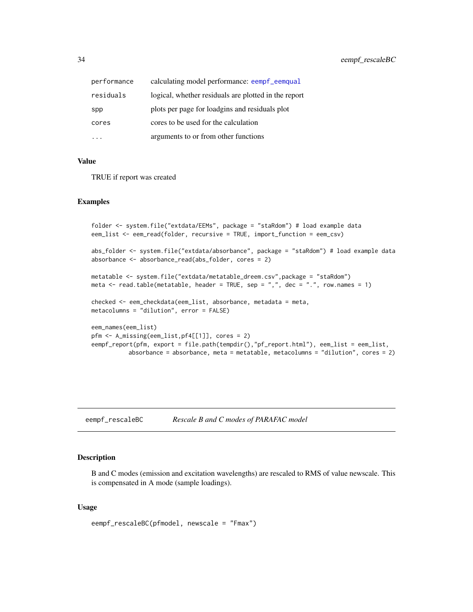<span id="page-33-0"></span>

| performance | calculating model performance: eempf_eemqual         |
|-------------|------------------------------------------------------|
| residuals   | logical, whether residuals are plotted in the report |
| spp         | plots per page for loadgins and residuals plot       |
| cores       | cores to be used for the calculation                 |
|             | arguments to or from other functions                 |

#### Value

TRUE if report was created

#### Examples

```
folder <- system.file("extdata/EEMs", package = "staRdom") # load example data
eem_list <- eem_read(folder, recursive = TRUE, import_function = eem_csv)
abs_folder <- system.file("extdata/absorbance", package = "staRdom") # load example data
absorbance <- absorbance_read(abs_folder, cores = 2)
metatable <- system.file("extdata/metatable_dreem.csv",package = "staRdom")
meta \le read.table(metatable, header = TRUE, sep = ",", dec = ".", row.names = 1)
checked <- eem_checkdata(eem_list, absorbance, metadata = meta,
metacolumns = "dilution", error = FALSE)
eem_names(eem_list)
pfm <- A_missing(eem_list,pf4[[1]], cores = 2)
eempf_report(pfm, export = file.path(tempdir(),"pf_report.html"), eem_list = eem_list,
          absorbance = absorbance, meta = metatable, metacolumns = "dilution", cores = 2)
```
eempf\_rescaleBC *Rescale B and C modes of PARAFAC model*

#### Description

B and C modes (emission and excitation wavelengths) are rescaled to RMS of value newscale. This is compensated in A mode (sample loadings).

#### Usage

```
eempf_rescaleBC(pfmodel, newscale = "Fmax")
```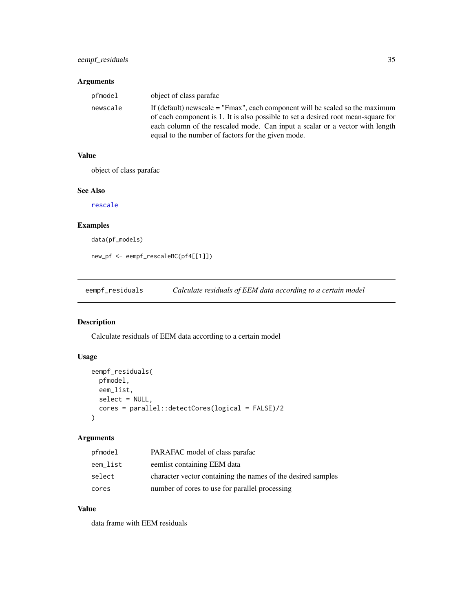# <span id="page-34-0"></span>Arguments

| pfmodel  | object of class parafac                                                                                                                                                                                                                                                                                   |
|----------|-----------------------------------------------------------------------------------------------------------------------------------------------------------------------------------------------------------------------------------------------------------------------------------------------------------|
| newscale | If (default) newscale $=$ "Fmax", each component will be scaled so the maximum<br>of each component is 1. It is also possible to set a desired root mean-square for<br>each column of the rescaled mode. Can input a scalar or a vector with length<br>equal to the number of factors for the given mode. |

# Value

object of class parafac

#### See Also

[rescale](#page-0-0)

# Examples

```
data(pf_models)
```
new\_pf <- eempf\_rescaleBC(pf4[[1]])

<span id="page-34-1"></span>eempf\_residuals *Calculate residuals of EEM data according to a certain model*

# Description

Calculate residuals of EEM data according to a certain model

# Usage

```
eempf_residuals(
  pfmodel,
  eem_list,
  select = NULL,
  cores = parallel::detectCores(logical = FALSE)/2
\mathcal{L}
```
# Arguments

| pfmodel  | PARAFAC model of class parafac                               |
|----------|--------------------------------------------------------------|
| eem_list | eemlist containing EEM data                                  |
| select   | character vector containing the names of the desired samples |
| cores    | number of cores to use for parallel processing               |

#### Value

data frame with EEM residuals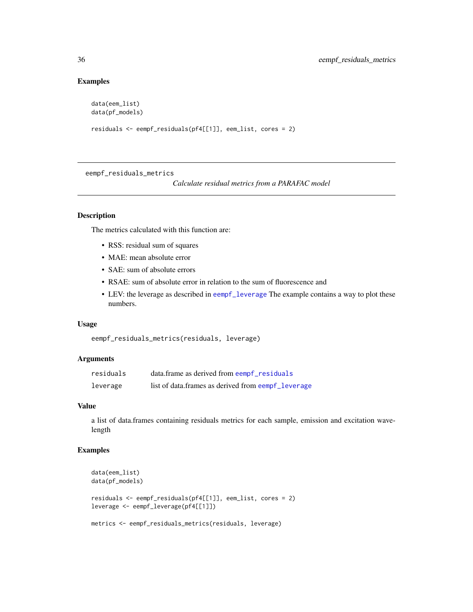# Examples

```
data(eem_list)
data(pf_models)
residuals <- eempf_residuals(pf4[[1]], eem_list, cores = 2)
```
eempf\_residuals\_metrics

*Calculate residual metrics from a PARAFAC model*

# Description

The metrics calculated with this function are:

- RSS: residual sum of squares
- MAE: mean absolute error
- SAE: sum of absolute errors
- RSAE: sum of absolute error in relation to the sum of fluorescence and
- LEV: the leverage as described in [eempf\\_leverage](#page-24-1) The example contains a way to plot these numbers.

#### Usage

```
eempf_residuals_metrics(residuals, leverage)
```
#### Arguments

| residuals | data.frame as derived from eempf residuals         |
|-----------|----------------------------------------------------|
| leverage  | list of data.frames as derived from eempf_leverage |

#### Value

a list of data.frames containing residuals metrics for each sample, emission and excitation wavelength

# Examples

```
data(eem_list)
data(pf_models)
residuals <- eempf_residuals(pf4[[1]], eem_list, cores = 2)
leverage <- eempf_leverage(pf4[[1]])
metrics <- eempf_residuals_metrics(residuals, leverage)
```
<span id="page-35-0"></span>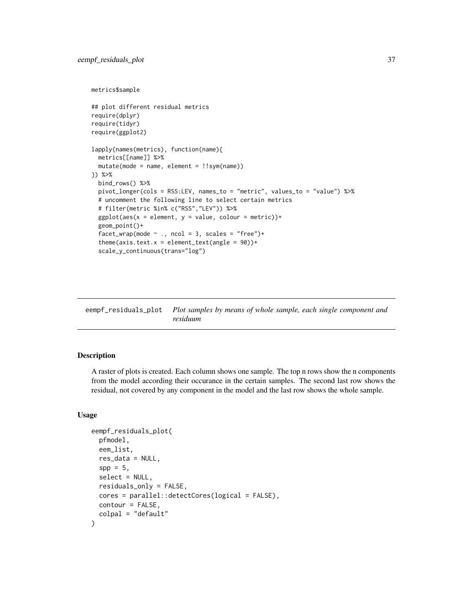```
metrics$sample
```

```
## plot different residual metrics
require(dplyr)
require(tidyr)
require(ggplot2)
lapply(names(metrics), function(name){
 metrics[[name]] %>%
 mutate(mode = name, element = !!sym(name))
}) %>%
 bind_rows() %>%
 pivot_longer(cols = RSS:LEV, names_to = "metric", values_to = "value") %>%
 # uncomment the following line to select certain metrics
 # filter(metric %in% c("RSS","LEV")) %>%
 ggplot(aes(x = element, y = value, colour = metric))+
 geom_point()+
 facet_wrap(mode \sim ., ncol = 3, scales = "free")+
 theme(axis.text.x = element_text(angle = 90))+
 scale_y_continuous(trans="log")
```

| eempf_residuals_plot Plot samples by means of whole sample, each single component and |
|---------------------------------------------------------------------------------------|
| residuum                                                                              |

A raster of plots is created. Each column shows one sample. The top n rows show the n components from the model according their occurance in the certain samples. The second last row shows the residual, not covered by any component in the model and the last row shows the whole sample.

#### Usage

```
eempf_residuals_plot(
  pfmodel,
  eem_list,
  res_data = NULL,
  spp = 5,
  select = NULL,
  residuals_only = FALSE,
  cores = parallel::detectCores(logical = FALSE),
 contour = FALSE,
  colpal = "default"
)
```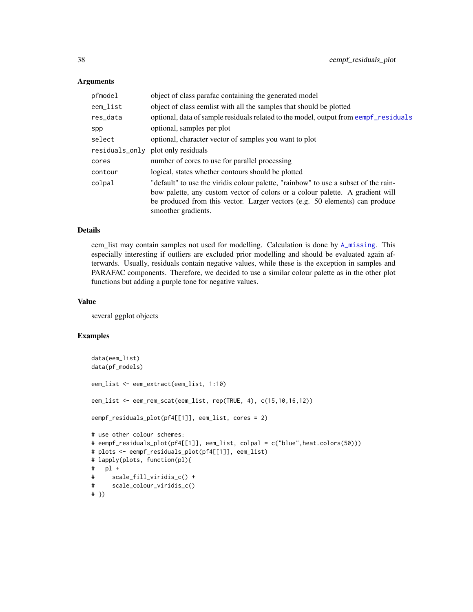### Arguments

| pfmodel        | object of class parafac containing the generated model                                                                                                               |
|----------------|----------------------------------------------------------------------------------------------------------------------------------------------------------------------|
| eem_list       | object of class eemlist with all the samples that should be plotted                                                                                                  |
| res_data       | optional, data of sample residuals related to the model, output from eempf_residuals                                                                                 |
| spp            | optional, samples per plot                                                                                                                                           |
| select         | optional, character vector of samples you want to plot                                                                                                               |
| residuals_only | plot only residuals                                                                                                                                                  |
| cores          | number of cores to use for parallel processing                                                                                                                       |
| contour        | logical, states whether contours should be plotted                                                                                                                   |
| colpal         | "default" to use the viridis colour palette, "rainbow" to use a subset of the rain-<br>bow palette, any custom vector of colors or a colour palette. A gradient will |
|                | be produced from this vector. Larger vectors (e.g. 50 elements) can produce<br>smoother gradients.                                                                   |

#### Details

eem\_list may contain samples not used for modelling. Calculation is done by [A\\_missing](#page-10-0). This especially interesting if outliers are excluded prior modelling and should be evaluated again afterwards. Usually, residuals contain negative values, while these is the exception in samples and PARAFAC components. Therefore, we decided to use a similar colour palette as in the other plot functions but adding a purple tone for negative values.

### Value

several ggplot objects

```
data(eem_list)
data(pf_models)
eem_list <- eem_extract(eem_list, 1:10)
eem_list <- eem_rem_scat(eem_list, rep(TRUE, 4), c(15,10,16,12))
eempf_residuals_plot(pf4[[1]], eem_list, cores = 2)
# use other colour schemes:
# eempf_residuals_plot(pf4[[1]], eem_list, colpal = c("blue",heat.colors(50)))
# plots <- eempf_residuals_plot(pf4[[1]], eem_list)
# lapply(plots, function(pl){
# pl +
# scale_fill_viridis_c() +
# scale_colour_viridis_c()
# })
```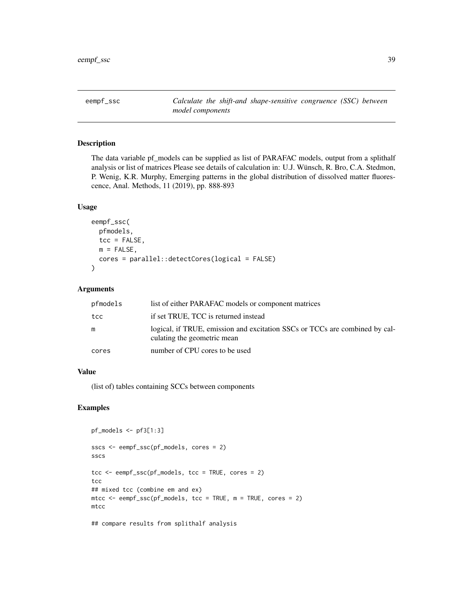eempf\_ssc *Calculate the shift-and shape-sensitive congruence (SSC) between model components*

### Description

The data variable pf\_models can be supplied as list of PARAFAC models, output from a splithalf analysis or list of matrices Please see details of calculation in: U.J. Wünsch, R. Bro, C.A. Stedmon, P. Wenig, K.R. Murphy, Emerging patterns in the global distribution of dissolved matter fluorescence, Anal. Methods, 11 (2019), pp. 888-893

#### Usage

```
eempf_ssc(
 pfmodels,
  tcc = FALSE,
 m = FALSE,
  cores = parallel::detectCores(logical = FALSE)
```
### Arguments

)

| pfmodels | list of either PARAFAC models or component matrices                                                        |
|----------|------------------------------------------------------------------------------------------------------------|
| tcc      | if set TRUE, TCC is returned instead                                                                       |
| m        | logical, if TRUE, emission and excitation SSCs or TCCs are combined by cal-<br>culating the geometric mean |
| cores    | number of CPU cores to be used                                                                             |

## Value

(list of) tables containing SCCs between components

```
pf_models <- pf3[1:3]
sscs <- eempf_ssc(pf_models, cores = 2)
sscs
tcc <- eempf_ssc(pf_models, tcc = TRUE, cores = 2)
tcc
## mixed tcc (combine em and ex)
mtcc <- eempf_ssc(pf_models, tcc = TRUE, m = TRUE, cores = 2)
mtcc
```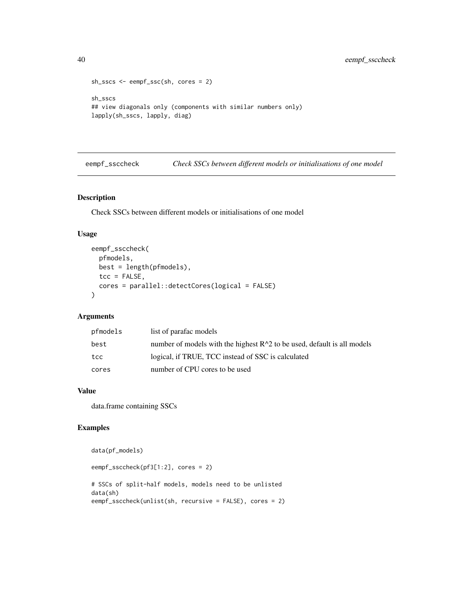```
sh_sscs <- eempf_ssc(sh, cores = 2)
sh_sscs
## view diagonals only (components with similar numbers only)
lapply(sh_sscs, lapply, diag)
```
eempf\_ssccheck *Check SSCs between different models or initialisations of one model*

### Description

Check SSCs between different models or initialisations of one model

### Usage

```
eempf_ssccheck(
 pfmodels,
 best = length(pfmodels),
 tcc = FALSE,cores = parallel::detectCores(logical = FALSE)
)
```
### Arguments

| pfmodels | list of parafac models                                                    |
|----------|---------------------------------------------------------------------------|
| best     | number of models with the highest $R^2$ to be used, default is all models |
| tcc      | logical, if TRUE, TCC instead of SSC is calculated                        |
| cores    | number of CPU cores to be used                                            |

### Value

data.frame containing SSCs

## Examples

```
data(pf_models)
```

```
eempf_ssccheck(pf3[1:2], cores = 2)
```
# SSCs of split-half models, models need to be unlisted data(sh) eempf\_ssccheck(unlist(sh, recursive = FALSE), cores = 2)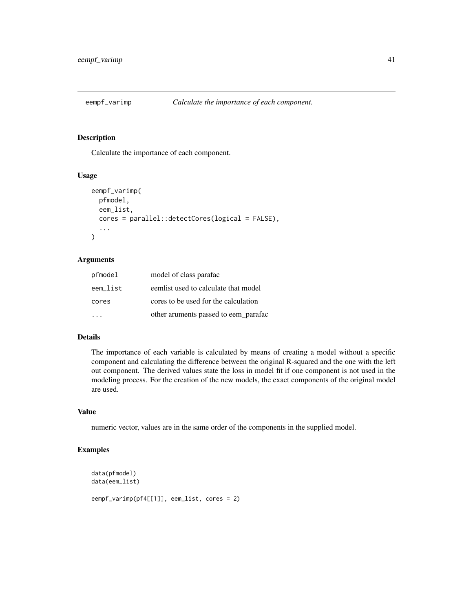Calculate the importance of each component.

#### Usage

```
eempf_varimp(
 pfmodel,
  eem_list,
  cores = parallel::detectCores(logical = FALSE),
  ...
)
```
### Arguments

| pfmodel  | model of class parafac               |
|----------|--------------------------------------|
| eem list | eemlist used to calculate that model |
| cores    | cores to be used for the calculation |
|          | other aruments passed to eem_parafac |

#### Details

The importance of each variable is calculated by means of creating a model without a specific component and calculating the difference between the original R-squared and the one with the left out component. The derived values state the loss in model fit if one component is not used in the modeling process. For the creation of the new models, the exact components of the original model are used.

### Value

numeric vector, values are in the same order of the components in the supplied model.

```
data(pfmodel)
data(eem_list)
eempf_varimp(pf4[[1]], eem_list, cores = 2)
```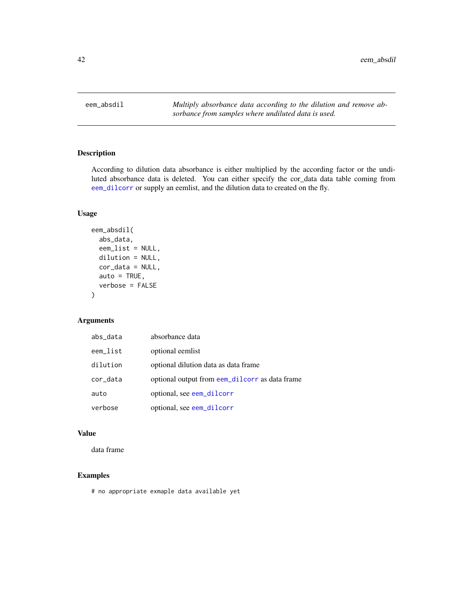eem\_absdil *Multiply absorbance data according to the dilution and remove absorbance from samples where undiluted data is used.*

# Description

According to dilution data absorbance is either multiplied by the according factor or the undiluted absorbance data is deleted. You can either specify the cor\_data data table coming from [eem\\_dilcorr](#page-47-0) or supply an eemlist, and the dilution data to created on the fly.

### Usage

```
eem_absdil(
  abs_data,
  eem_list = NULL,
  dilution = NULL,
  cor_data = NULL,
  auto = TRUE,verbose = FALSE
)
```
## Arguments

| abs_data | absorbance data                                |
|----------|------------------------------------------------|
| eem_list | optional eemlist                               |
| dilution | optional dilution data as data frame           |
| cor_data | optional output from eem_dilcorr as data frame |
| auto     | optional, see eem_dilcorr                      |
| verbose  | optional, see eem_dilcorr                      |

# Value

data frame

## Examples

# no appropriate exmaple data available yet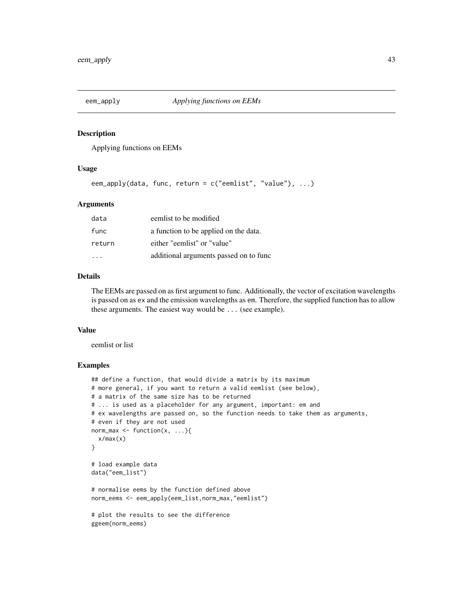Applying functions on EEMs

### Usage

eem\_apply(data, func, return = c("eemlist", "value"), ...)

## Arguments

| data    | eemlist to be modified                 |
|---------|----------------------------------------|
| func    | a function to be applied on the data.  |
| return  | either "eemlist" or "value"            |
| $\cdot$ | additional arguments passed on to func |

### Details

The EEMs are passed on as first argument to func. Additionally, the vector of excitation wavelengths is passed on as ex and the emission wavelengths as em. Therefore, the supplied function has to allow these arguments. The easiest way would be ... (see example).

#### Value

eemlist or list

```
## define a function, that would divide a matrix by its maximum
# more general, if you want to return a valid eemlist (see below),
# a matrix of the same size has to be returned
# ... is used as a placeholder for any argument, important: em and
# ex wavelengths are passed on, so the function needs to take them as arguments,
# even if they are not used
norm_max \leq function(x, ...){
 x/max(x)
}
# load example data
data("eem_list")
# normalise eems by the function defined above
norm_eems <- eem_apply(eem_list,norm_max,"eemlist")
# plot the results to see the difference
ggeem(norm_eems)
```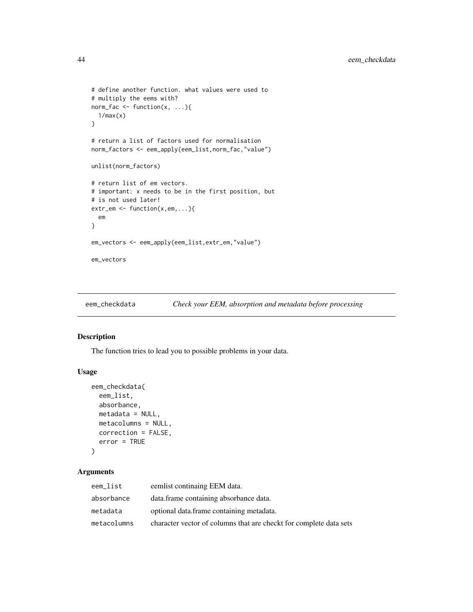```
# define another function. what values were used to
# multiply the eems with?
norm_fac <- function(x, ...){
  1/max(x)}
# return a list of factors used for normalisation
norm_factors <- eem_apply(eem_list,norm_fac,"value")
unlist(norm_factors)
# return list of em vectors.
# important: x needs to be in the first position, but
# is not used later!
extr_em <- function(x,em,...){
  em
}
em_vectors <- eem_apply(eem_list,extr_em,"value")
em_vectors
```
eem\_checkdata *Check your EEM, absorption and metadata before processing*

# Description

The function tries to lead you to possible problems in your data.

#### Usage

```
eem_checkdata(
  eem_list,
  absorbance,
  metadata = NULL,
  metacolumns = NULL,
  correction = FALSE,
  error = TRUE
\mathcal{L}
```
# Arguments

| eem_list    | eemlist continaing EEM data.                                       |
|-------------|--------------------------------------------------------------------|
| absorbance  | data.frame containing absorbance data.                             |
| metadata    | optional data.frame containing metadata.                           |
| metacolumns | character vector of columns that are checkt for complete data sets |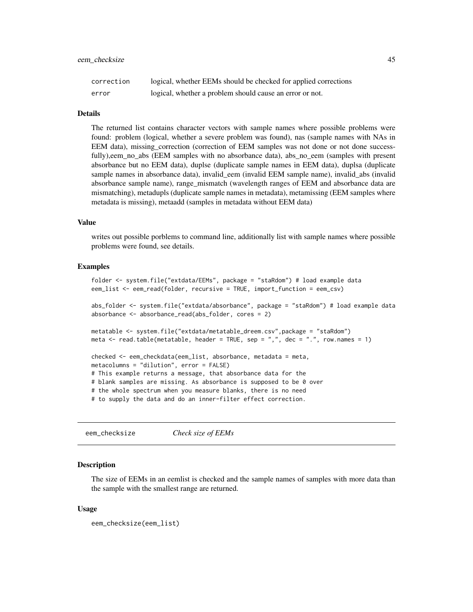| correction | logical, whether EEMs should be checked for applied corrections |
|------------|-----------------------------------------------------------------|
| error      | logical, whether a problem should cause an error or not.        |

#### Details

The returned list contains character vectors with sample names where possible problems were found: problem (logical, whether a severe problem was found), nas (sample names with NAs in EEM data), missing correction (correction of EEM samples was not done or not done successfully),eem\_no\_abs (EEM samples with no absorbance data), abs\_no\_eem (samples with present absorbance but no EEM data), duplse (duplicate sample names in EEM data), duplsa (duplicate sample names in absorbance data), invalid\_eem (invalid EEM sample name), invalid\_abs (invalid absorbance sample name), range\_mismatch (wavelength ranges of EEM and absorbance data are mismatching), metadupls (duplicate sample names in metadata), metamissing (EEM samples where metadata is missing), metaadd (samples in metadata without EEM data)

#### Value

writes out possible porblems to command line, additionally list with sample names where possible problems were found, see details.

#### Examples

```
folder <- system.file("extdata/EEMs", package = "staRdom") # load example data
eem_list <- eem_read(folder, recursive = TRUE, import_function = eem_csv)
abs_folder <- system.file("extdata/absorbance", package = "staRdom") # load example data
absorbance <- absorbance_read(abs_folder, cores = 2)
metatable <- system.file("extdata/metatable_dreem.csv",package = "staRdom")
meta \le read.table(metatable, header = TRUE, sep = ",", dec = ".", row.names = 1)
checked <- eem_checkdata(eem_list, absorbance, metadata = meta,
metacolumns = "dilution", error = FALSE)
# This example returns a message, that absorbance data for the
# blank samples are missing. As absorbance is supposed to be 0 over
# the whole spectrum when you measure blanks, there is no need
# to supply the data and do an inner-filter effect correction.
```
eem\_checksize *Check size of EEMs*

#### **Description**

The size of EEMs in an eemlist is checked and the sample names of samples with more data than the sample with the smallest range are returned.

#### Usage

```
eem_checksize(eem_list)
```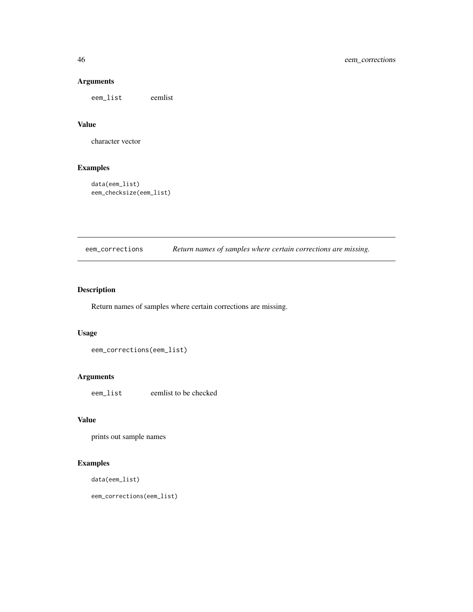# Arguments

eem\_list eemlist

### Value

character vector

## Examples

data(eem\_list) eem\_checksize(eem\_list)

eem\_corrections *Return names of samples where certain corrections are missing.*

# Description

Return names of samples where certain corrections are missing.

## Usage

```
eem_corrections(eem_list)
```
# Arguments

eem\_list eemlist to be checked

#### Value

prints out sample names

# Examples

data(eem\_list)

eem\_corrections(eem\_list)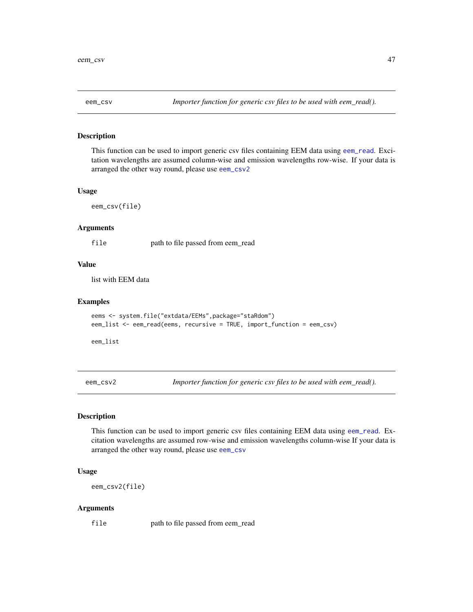<span id="page-46-1"></span>

This function can be used to import generic csv files containing EEM data using [eem\\_read](#page-0-0). Excitation wavelengths are assumed column-wise and emission wavelengths row-wise. If your data is arranged the other way round, please use [eem\\_csv2](#page-46-0)

#### Usage

eem\_csv(file)

#### Arguments

file path to file passed from eem\_read

### Value

list with EEM data

### Examples

```
eems <- system.file("extdata/EEMs",package="staRdom")
eem_list <- eem_read(eems, recursive = TRUE, import_function = eem_csv)
```
eem\_list

<span id="page-46-0"></span>eem\_csv2 *Importer function for generic csv files to be used with eem\_read().*

## Description

This function can be used to import generic csv files containing EEM data using [eem\\_read](#page-0-0). Excitation wavelengths are assumed row-wise and emission wavelengths column-wise If your data is arranged the other way round, please use [eem\\_csv](#page-46-1)

# Usage

eem\_csv2(file)

#### Arguments

file path to file passed from eem\_read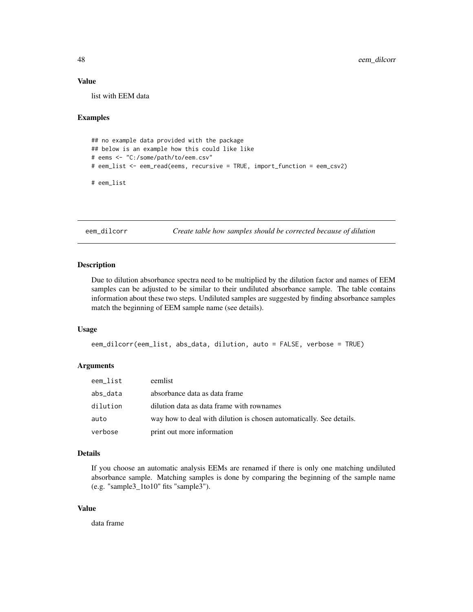### Value

list with EEM data

### Examples

```
## no example data provided with the package
## below is an example how this could like like
# eems <- "C:/some/path/to/eem.csv"
# eem_list <- eem_read(eems, recursive = TRUE, import_function = eem_csv2)
# eem_list
```
<span id="page-47-0"></span>eem\_dilcorr *Create table how samples should be corrected because of dilution*

#### Description

Due to dilution absorbance spectra need to be multiplied by the dilution factor and names of EEM samples can be adjusted to be similar to their undiluted absorbance sample. The table contains information about these two steps. Undiluted samples are suggested by finding absorbance samples match the beginning of EEM sample name (see details).

#### Usage

```
eem_dilcorr(eem_list, abs_data, dilution, auto = FALSE, verbose = TRUE)
```
## Arguments

| eem_list | eemlist                                                             |
|----------|---------------------------------------------------------------------|
| abs_data | absorbance data as data frame                                       |
| dilution | dilution data as data frame with rownames                           |
| auto     | way how to deal with dilution is chosen automatically. See details. |
| verbose  | print out more information                                          |

#### Details

If you choose an automatic analysis EEMs are renamed if there is only one matching undiluted absorbance sample. Matching samples is done by comparing the beginning of the sample name (e.g. "sample3\_1to10" fits "sample3").

#### Value

data frame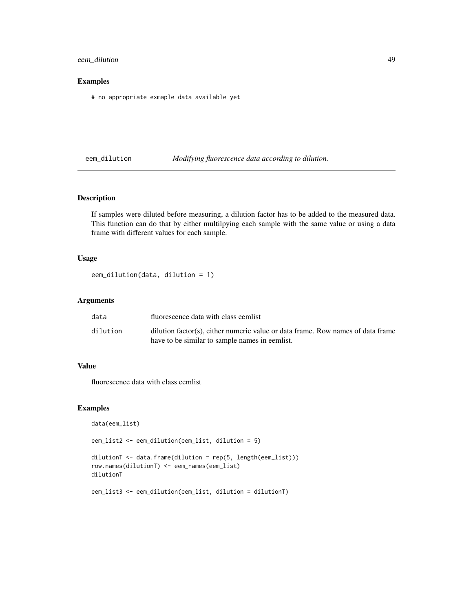## eem\_dilution 49

### Examples

# no appropriate exmaple data available yet

eem\_dilution *Modifying fluorescence data according to dilution.*

### Description

If samples were diluted before measuring, a dilution factor has to be added to the measured data. This function can do that by either multilpying each sample with the same value or using a data frame with different values for each sample.

### Usage

```
eem_dilution(data, dilution = 1)
```
## Arguments

| data     | fluorescence data with class eemlist                                            |
|----------|---------------------------------------------------------------------------------|
| dilution | dilution factor(s), either numeric value or data frame. Row names of data frame |
|          | have to be similar to sample names in eemlist.                                  |

# Value

fluorescence data with class eemlist

## Examples

```
data(eem_list)
```
eem\_list2 <- eem\_dilution(eem\_list, dilution = 5)

```
dilutionT <- data.frame(dilution = rep(5, length(eem_list)))
row.names(dilutionT) <- eem_names(eem_list)
dilutionT
```
eem\_list3 <- eem\_dilution(eem\_list, dilution = dilutionT)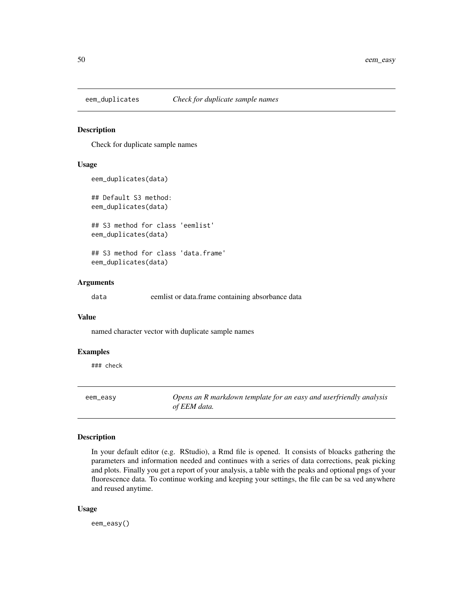Check for duplicate sample names

#### Usage

```
eem_duplicates(data)
## Default S3 method:
eem_duplicates(data)
## S3 method for class 'eemlist'
eem_duplicates(data)
```
## S3 method for class 'data.frame' eem\_duplicates(data)

### Arguments

data eemlist or data.frame containing absorbance data

#### Value

named character vector with duplicate sample names

#### Examples

### check

eem\_easy *Opens an R markdown template for an easy and userfriendly analysis of EEM data.*

### Description

In your default editor (e.g. RStudio), a Rmd file is opened. It consists of bloacks gathering the parameters and information needed and continues with a series of data corrections, peak picking and plots. Finally you get a report of your analysis, a table with the peaks and optional pngs of your fluorescence data. To continue working and keeping your settings, the file can be sa ved anywhere and reused anytime.

#### Usage

eem\_easy()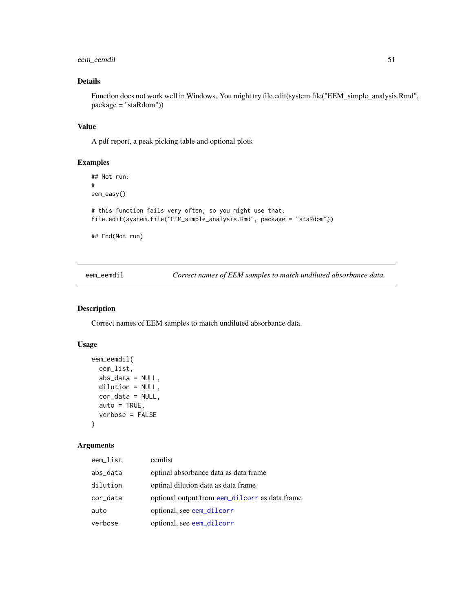## eem\_eemdil 51

# Details

Function does not work well in Windows. You might try file.edit(system.file("EEM\_simple\_analysis.Rmd", package = "staRdom"))

### Value

A pdf report, a peak picking table and optional plots.

#### Examples

```
## Not run:
#
eem_easy()
# this function fails very often, so you might use that:
file.edit(system.file("EEM_simple_analysis.Rmd", package = "staRdom"))
## End(Not run)
```
eem\_eemdil *Correct names of EEM samples to match undiluted absorbance data.*

### Description

Correct names of EEM samples to match undiluted absorbance data.

# Usage

```
eem_eemdil(
  eem_list,
  abs_data = NULL,
 dilution = NULL,
  cor_data = NULL,
  auto = TRUE,verbose = FALSE
)
```
## Arguments

| eem_list | eemlist                                        |
|----------|------------------------------------------------|
| abs_data | optinal absorbance data as data frame.         |
| dilution | optinal dilution data as data frame.           |
| cor_data | optional output from eem_dilcorr as data frame |
| auto     | optional, see eem_dilcorr                      |
| verbose  | optional, see eem_dilcorr                      |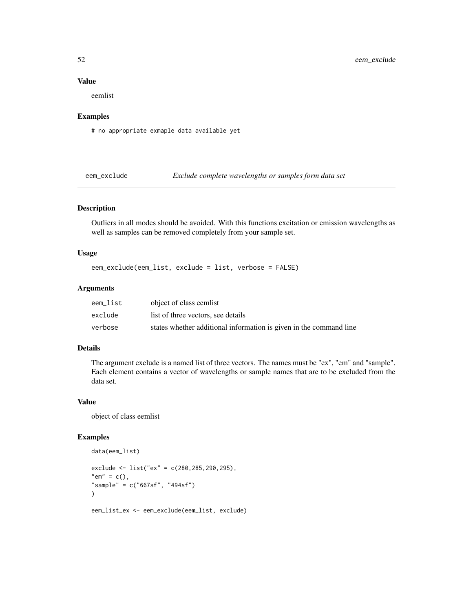## Value

eemlist

#### Examples

# no appropriate exmaple data available yet

eem\_exclude *Exclude complete wavelengths or samples form data set*

## Description

Outliers in all modes should be avoided. With this functions excitation or emission wavelengths as well as samples can be removed completely from your sample set.

### Usage

```
eem_exclude(eem_list, exclude = list, verbose = FALSE)
```
### Arguments

| eem list | object of class eemlist                                            |
|----------|--------------------------------------------------------------------|
| exclude  | list of three vectors, see details                                 |
| verbose  | states whether additional information is given in the command line |

### Details

The argument exclude is a named list of three vectors. The names must be "ex", "em" and "sample". Each element contains a vector of wavelengths or sample names that are to be excluded from the data set.

#### Value

object of class eemlist

data(eem\_list)

```
exclude <- list("ex" = c(280,285,290,295),
"em" = c(),
"sample" = c("667sf", "494sf")
)
eem_list_ex <- eem_exclude(eem_list, exclude)
```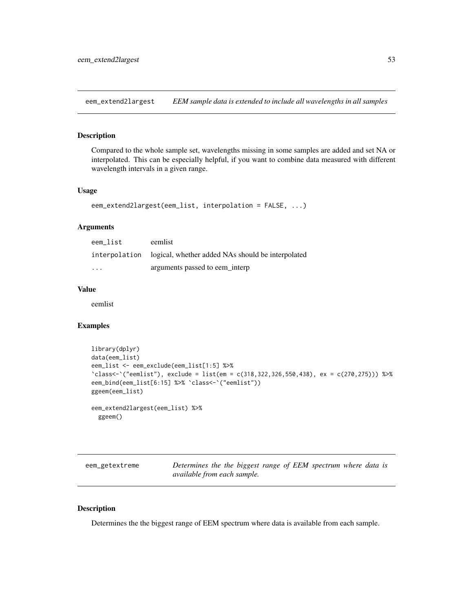eem\_extend2largest *EEM sample data is extended to include all wavelengths in all samples*

## Description

Compared to the whole sample set, wavelengths missing in some samples are added and set NA or interpolated. This can be especially helpful, if you want to combine data measured with different wavelength intervals in a given range.

### Usage

```
eem_extend2largest(eem_list, interpolation = FALSE, ...)
```
### Arguments

| eem list                | eemlist                                                         |
|-------------------------|-----------------------------------------------------------------|
|                         | interpolation logical, whether added NAs should be interpolated |
| $\cdot$ $\cdot$ $\cdot$ | arguments passed to eem interp                                  |

## Value

eemlist

#### Examples

```
library(dplyr)
data(eem_list)
eem_list <- eem_exclude(eem_list[1:5] %>%
`class<-`("eemlist"), exclude = list(em = c(318,322,326,550,438), ex = c(270,275))) %>%
eem_bind(eem_list[6:15] %>% `class<-`("eemlist"))
ggeem(eem_list)
eem_extend2largest(eem_list) %>%
 ggeem()
```

| eem_getextreme | Determines the the biggest range of EEM spectrum where data is |  |  |  |  |
|----------------|----------------------------------------------------------------|--|--|--|--|
|                | available from each sample.                                    |  |  |  |  |

#### Description

Determines the the biggest range of EEM spectrum where data is available from each sample.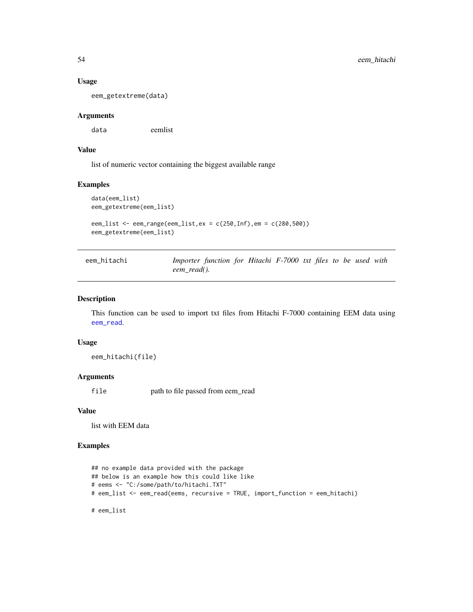#### Usage

eem\_getextreme(data)

#### Arguments

data eemlist

## Value

list of numeric vector containing the biggest available range

### Examples

```
data(eem_list)
eem_getextreme(eem_list)
eem_list <- eem_range(eem_list,ex = c(250,Inf),em = c(280,500))
```

```
eem_getextreme(eem_list)
```

```
eem_hitachi Importer function for Hitachi F-7000 txt files to be used with
                     eem_read().
```
### Description

This function can be used to import txt files from Hitachi F-7000 containing EEM data using [eem\\_read](#page-0-0).

#### Usage

eem\_hitachi(file)

### Arguments

file path to file passed from eem\_read

### Value

list with EEM data

```
## no example data provided with the package
## below is an example how this could like like
# eems <- "C:/some/path/to/hitachi.TXT"
# eem_list <- eem_read(eems, recursive = TRUE, import_function = eem_hitachi)
# eem_list
```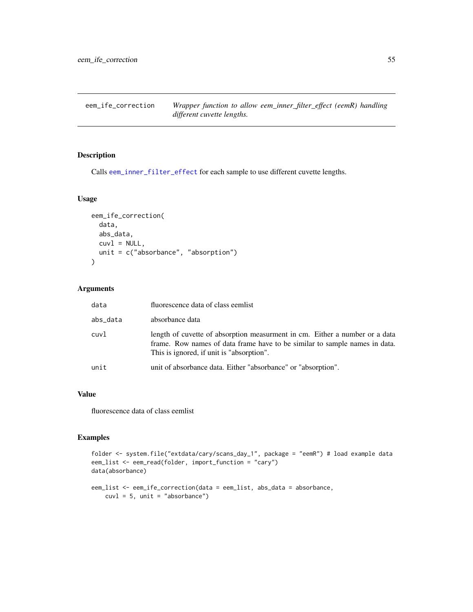Calls [eem\\_inner\\_filter\\_effect](#page-0-0) for each sample to use different cuvette lengths.

### Usage

```
eem_ife_correction(
 data,
 abs_data,
 cuv1 = NULL,unit = c("absorbance", "absorption")
)
```
## Arguments

| data     | fluorescence data of class eemlist                                                                                                                                                                     |
|----------|--------------------------------------------------------------------------------------------------------------------------------------------------------------------------------------------------------|
| abs_data | absorbance data                                                                                                                                                                                        |
| cuvl     | length of cuvette of absorption measurment in cm. Either a number or a data<br>frame. Row names of data frame have to be similar to sample names in data.<br>This is ignored, if unit is "absorption". |
| unit     | unit of absorbance data. Either "absorbance" or "absorption".                                                                                                                                          |

## Value

fluorescence data of class eemlist

```
folder <- system.file("extdata/cary/scans_day_1", package = "eemR") # load example data
eem_list <- eem_read(folder, import_function = "cary")
data(absorbance)
eem_list <- eem_ife_correction(data = eem_list, abs_data = absorbance,
    cuv1 = 5, unit = "absorbance")
```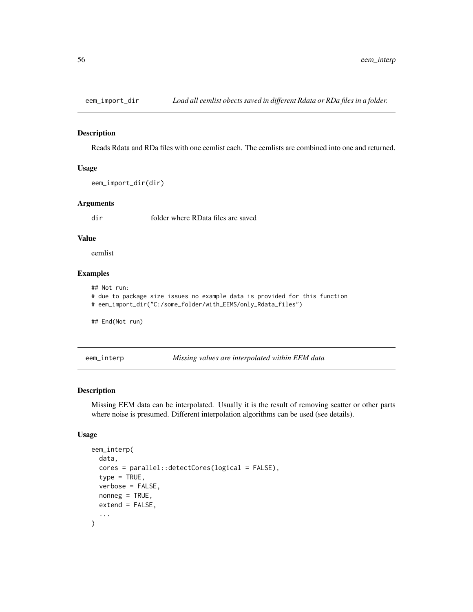Reads Rdata and RDa files with one eemlist each. The eemlists are combined into one and returned.

#### Usage

```
eem_import_dir(dir)
```
### Arguments

dir folder where RData files are saved

### Value

eemlist

# Examples

```
## Not run:
# due to package size issues no example data is provided for this function
# eem_import_dir("C:/some_folder/with_EEMS/only_Rdata_files")
## End(Not run)
```
<span id="page-55-0"></span>eem\_interp *Missing values are interpolated within EEM data*

## Description

Missing EEM data can be interpolated. Usually it is the result of removing scatter or other parts where noise is presumed. Different interpolation algorithms can be used (see details).

#### Usage

```
eem_interp(
  data,
  cores = parallel::detectCores(logical = FALSE),
  type = TRUE,
  verbose = FALSE,
  nonneg = TRUE,extend = FALSE,
  ...
)
```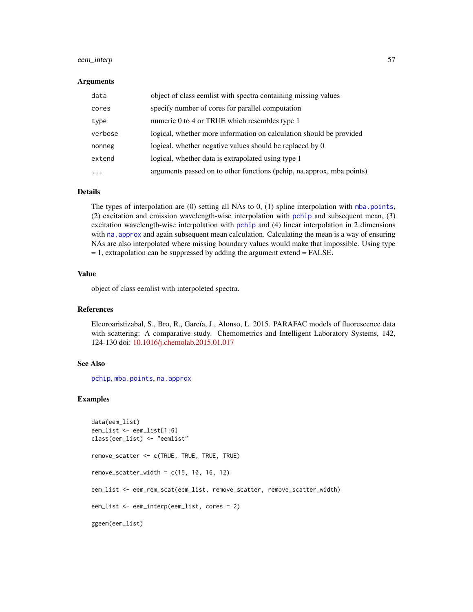## eem\_interp 57

#### Arguments

| data    | object of class eemlist with spectra containing missing values        |
|---------|-----------------------------------------------------------------------|
| cores   | specify number of cores for parallel computation                      |
| type    | numeric 0 to 4 or TRUE which resembles type 1                         |
| verbose | logical, whether more information on calculation should be provided   |
| nonneg  | logical, whether negative values should be replaced by 0              |
| extend  | logical, whether data is extrapolated using type 1                    |
| .       | arguments passed on to other functions (pchip, na.approx, mba.points) |

### Details

The types of interpolation are (0) setting all NAs to 0, (1) spline interpolation with [mba.points](#page-0-0), (2) excitation and emission wavelength-wise interpolation with [pchip](#page-0-0) and subsequent mean, (3) excitation wavelength-wise interpolation with [pchip](#page-0-0) and (4) linear interpolation in 2 dimensions with na. approx and again subsequent mean calculation. Calculating the mean is a way of ensuring NAs are also interpolated where missing boundary values would make that impossible. Using type  $= 1$ , extrapolation can be suppressed by adding the argument extend  $=$  FALSE.

#### Value

object of class eemlist with interpoleted spectra.

### References

Elcoroaristizabal, S., Bro, R., García, J., Alonso, L. 2015. PARAFAC models of fluorescence data with scattering: A comparative study. Chemometrics and Intelligent Laboratory Systems, 142, 124-130 doi: [10.1016/j.chemolab.2015.01.017](https://doi.org/10.1016/j.chemolab.2015.01.017)

#### See Also

[pchip](#page-0-0), [mba.points](#page-0-0), [na.approx](#page-0-0)

```
data(eem_list)
eem_list <- eem_list[1:6]
class(eem_list) <- "eemlist"
remove_scatter <- c(TRUE, TRUE, TRUE, TRUE)
remove\_scatter\_width = c(15, 10, 16, 12)eem_list <- eem_rem_scat(eem_list, remove_scatter, remove_scatter_width)
eem_list <- eem_interp(eem_list, cores = 2)
ggeem(eem_list)
```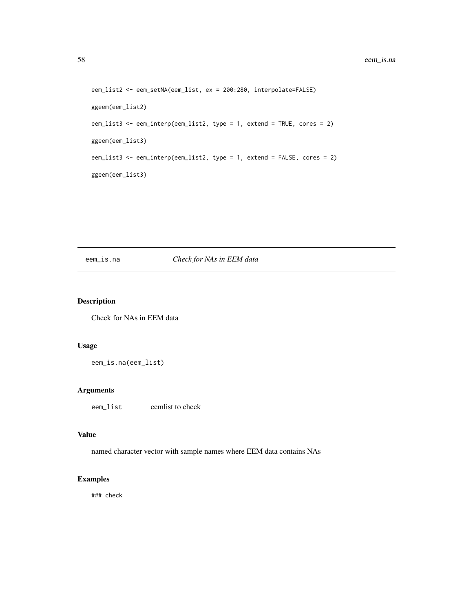```
eem_list2 <- eem_setNA(eem_list, ex = 200:280, interpolate=FALSE)
ggeem(eem_list2)
eem_list3 <- eem_interp(eem_list2, type = 1, extend = TRUE, cores = 2)
ggeem(eem_list3)
eem_list3 <- eem_interp(eem_list2, type = 1, extend = FALSE, cores = 2)
ggeem(eem_list3)
```
# eem\_is.na *Check for NAs in EEM data*

### Description

Check for NAs in EEM data

### Usage

eem\_is.na(eem\_list)

## Arguments

eem\_list eemlist to check

### Value

named character vector with sample names where EEM data contains NAs

### Examples

### check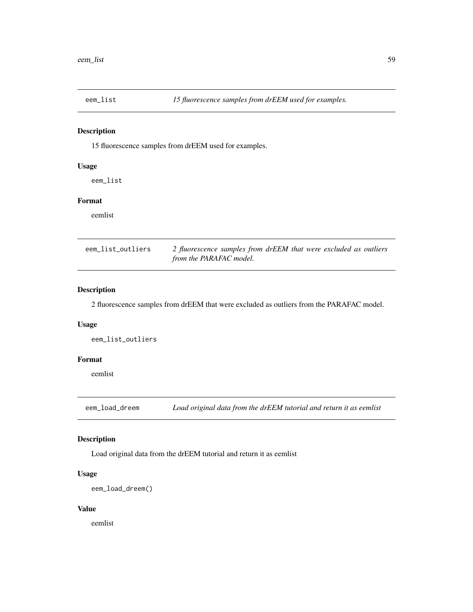15 fluorescence samples from drEEM used for examples.

### Usage

eem\_list

# Format

eemlist

| eem_list_outliers | 2 fluorescence samples from drEEM that were excluded as outliers |
|-------------------|------------------------------------------------------------------|
|                   | from the PARAFAC model.                                          |

### Description

2 fluorescence samples from drEEM that were excluded as outliers from the PARAFAC model.

### Usage

eem\_list\_outliers

### Format

eemlist

eem\_load\_dreem *Load original data from the drEEM tutorial and return it as eemlist*

## Description

Load original data from the drEEM tutorial and return it as eemlist

## Usage

eem\_load\_dreem()

### Value

eemlist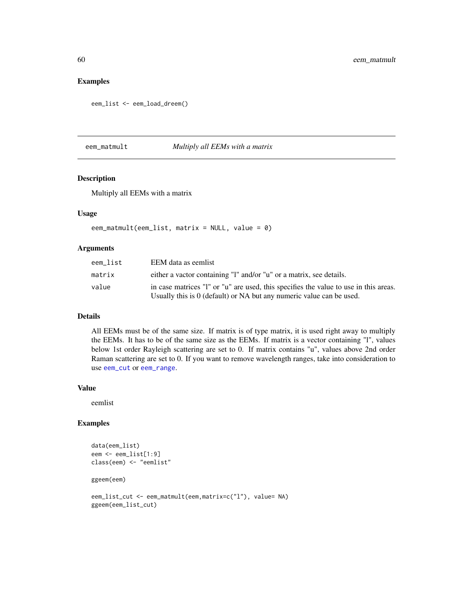## Examples

eem\_list <- eem\_load\_dreem()

eem\_matmult *Multiply all EEMs with a matrix*

## Description

Multiply all EEMs with a matrix

## Usage

```
eem_matmult(eem_list, matrix = NULL, value = \theta)
```
#### Arguments

| eem list | EEM data as eemlist                                                                                                                                          |
|----------|--------------------------------------------------------------------------------------------------------------------------------------------------------------|
| matrix   | either a vactor containing "I" and/or "u" or a matrix, see details.                                                                                          |
| value    | in case matrices "I" or "u" are used, this specifies the value to use in this areas.<br>Usually this is 0 (default) or NA but any numeric value can be used. |

### Details

All EEMs must be of the same size. If matrix is of type matrix, it is used right away to multiply the EEMs. It has to be of the same size as the EEMs. If matrix is a vector containing "l", values below 1st order Rayleigh scattering are set to 0. If matrix contains "u", values above 2nd order Raman scattering are set to 0. If you want to remove wavelength ranges, take into consideration to use [eem\\_cut](#page-0-0) or [eem\\_range](#page-65-0).

### Value

eemlist

```
data(eem_list)
eem <- eem_list[1:9]
class(eem) <- "eemlist"
ggeem(eem)
```

```
eem_list_cut <- eem_matmult(eem,matrix=c("l"), value= NA)
ggeem(eem_list_cut)
```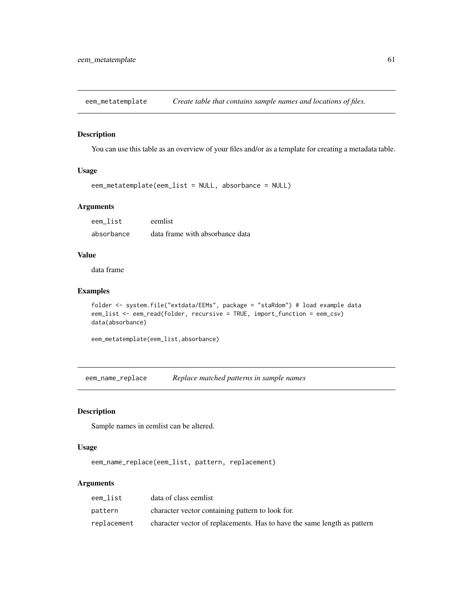eem\_metatemplate *Create table that contains sample names and locations of files.*

#### Description

You can use this table as an overview of your files and/or as a template for creating a metadata table.

### Usage

```
eem_metatemplate(eem_list = NULL, absorbance = NULL)
```
### Arguments

| eem list   | eemlist                         |
|------------|---------------------------------|
| absorbance | data frame with absorbance data |

### Value

data frame

#### Examples

```
folder <- system.file("extdata/EEMs", package = "staRdom") # load example data
eem_list <- eem_read(folder, recursive = TRUE, import_function = eem_csv)
data(absorbance)
```

```
eem_metatemplate(eem_list,absorbance)
```
eem\_name\_replace *Replace matched patterns in sample names*

### Description

Sample names in eemlist can be altered.

## Usage

eem\_name\_replace(eem\_list, pattern, replacement)

### Arguments

| eem list    | data of class eemlist                                                    |
|-------------|--------------------------------------------------------------------------|
| pattern     | character vector containing pattern to look for.                         |
| replacement | character vector of replacements. Has to have the same length as pattern |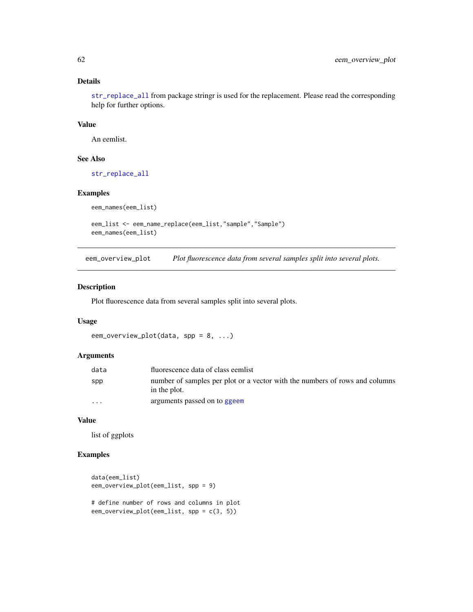### Details

[str\\_replace\\_all](#page-0-0) from package stringr is used for the replacement. Please read the corresponding help for further options.

#### Value

An eemlist.

### See Also

[str\\_replace\\_all](#page-0-0)

#### Examples

```
eem_names(eem_list)
```

```
eem_list <- eem_name_replace(eem_list,"sample","Sample")
eem_names(eem_list)
```
eem\_overview\_plot *Plot fluorescence data from several samples split into several plots.*

### Description

Plot fluorescence data from several samples split into several plots.

#### Usage

```
eem_overview_plot(data, spp = 8, ...)
```
### Arguments

| data    | fluorescence data of class eemlist                                                          |
|---------|---------------------------------------------------------------------------------------------|
| spp     | number of samples per plot or a vector with the numbers of rows and columns<br>in the plot. |
| $\cdot$ | arguments passed on to ggeem                                                                |

### Value

list of ggplots

```
data(eem_list)
eem_overview_plot(eem_list, spp = 9)
# define number of rows and columns in plot
eem_overview_plot(eem_list, spp = c(3, 5))
```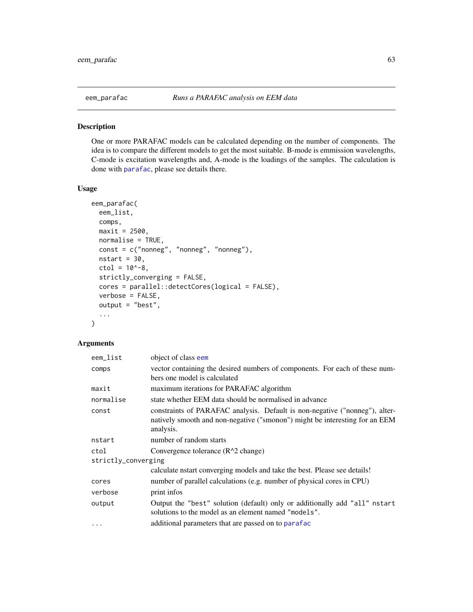One or more PARAFAC models can be calculated depending on the number of components. The idea is to compare the different models to get the most suitable. B-mode is emmission wavelengths, C-mode is excitation wavelengths and, A-mode is the loadings of the samples. The calculation is done with [parafac](#page-0-0), please see details there.

### Usage

```
eem_parafac(
  eem_list,
  comps,
 maxit = 2500,
  normalise = TRUE,
  const = c("nonneg", "nonneg", "nonneg"),
  nstart = 30,
  ctol = 10^{\lambda - 8},
  strictly_converging = FALSE,
  cores = parallel::detectCores(logical = FALSE),
  verbose = FALSE,
  output = "best",
  ...
)
```
# Arguments

| eem_list            | object of class eem                                                                                                                                                     |
|---------------------|-------------------------------------------------------------------------------------------------------------------------------------------------------------------------|
| comps               | vector containing the desired numbers of components. For each of these num-<br>bers one model is calculated                                                             |
| maxit               | maximum iterations for PARAFAC algorithm                                                                                                                                |
| normalise           | state whether EEM data should be normalised in advance                                                                                                                  |
| const               | constraints of PARAFAC analysis. Default is non-negative ("nonneg"), alter-<br>natively smooth and non-negative ("smonon") might be interesting for an EEM<br>analysis. |
| nstart              | number of random starts                                                                                                                                                 |
| ctol                | Convergence tolerance (R^2 change)                                                                                                                                      |
| strictly_converging |                                                                                                                                                                         |
|                     | calculate nstart converging models and take the best. Please see details!                                                                                               |
| cores               | number of parallel calculations (e.g. number of physical cores in CPU)                                                                                                  |
| verbose             | print infos                                                                                                                                                             |
| output              | Output the "best" solution (default) only or additionally add "all" nstart<br>solutions to the model as an element named "models".                                      |
| $\cdots$            | additional parameters that are passed on to parafac                                                                                                                     |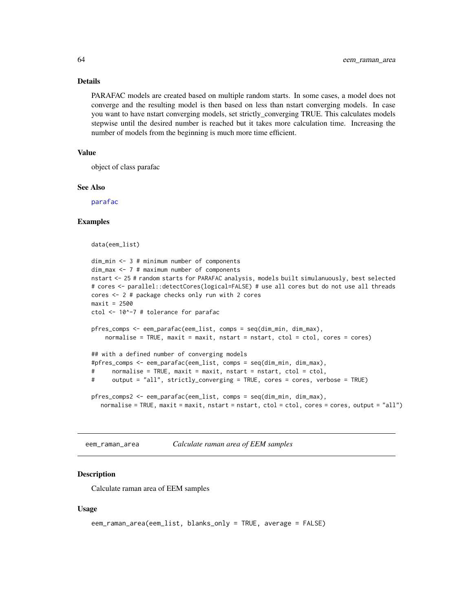#### Details

PARAFAC models are created based on multiple random starts. In some cases, a model does not converge and the resulting model is then based on less than nstart converging models. In case you want to have nstart converging models, set strictly\_converging TRUE. This calculates models stepwise until the desired number is reached but it takes more calculation time. Increasing the number of models from the beginning is much more time efficient.

### Value

object of class parafac

### See Also

[parafac](#page-0-0)

### Examples

```
data(eem_list)
```

```
dim_min <- 3 # minimum number of components
dim_max <- 7 # maximum number of components
nstart <- 25 # random starts for PARAFAC analysis, models built simulanuously, best selected
# cores <- parallel::detectCores(logical=FALSE) # use all cores but do not use all threads
cores <- 2 # package checks only run with 2 cores
maxit = 2500ctol <- 10^-7 # tolerance for parafac
pfres_comps <- eem_parafac(eem_list, comps = seq(dim_min, dim_max),
    normalise = TRUE, maxit = maxit, nstart = nstart, ctol = ctol, cores = cores)
## with a defined number of converging models
#pfres_comps <- eem_parafac(eem_list, comps = seq(dim_min, dim_max),
# normalise = TRUE, maxit = maxit, nstart = nstart, ctol = ctol,
# output = "all", strictly_converging = TRUE, cores = cores, verbose = TRUE)
pfres_comps2 <- eem_parafac(eem_list, comps = seq(dim_min, dim_max),
  normalise = TRUE, maxit = maxit, nstart = nstart, ctol = ctol, cores = cores, output = "all")
```
eem\_raman\_area *Calculate raman area of EEM samples*

#### **Description**

Calculate raman area of EEM samples

#### Usage

```
eem_raman_area(eem_list, blanks_only = TRUE, average = FALSE)
```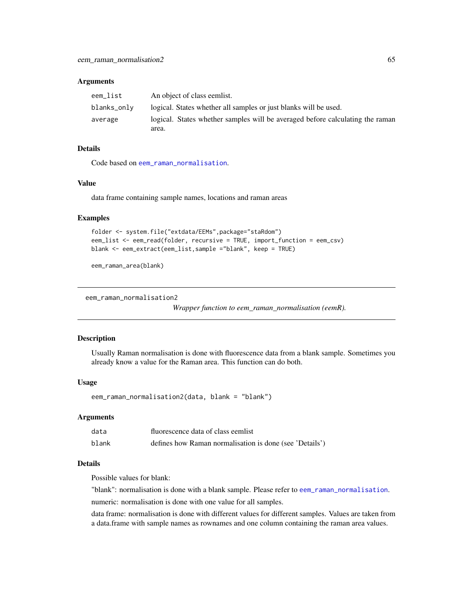#### **Arguments**

| eem_list    | An object of class eemlist.                                                   |
|-------------|-------------------------------------------------------------------------------|
| blanks_only | logical. States whether all samples or just blanks will be used.              |
| average     | logical. States whether samples will be averaged before calculating the raman |
|             | area.                                                                         |

### Details

Code based on [eem\\_raman\\_normalisation](#page-0-0).

### Value

data frame containing sample names, locations and raman areas

#### Examples

```
folder <- system.file("extdata/EEMs",package="staRdom")
eem_list <- eem_read(folder, recursive = TRUE, import_function = eem_csv)
blank <- eem_extract(eem_list,sample ="blank", keep = TRUE)
```

```
eem_raman_area(blank)
```

```
eem_raman_normalisation2
```
*Wrapper function to eem\_raman\_normalisation (eemR).*

### Description

Usually Raman normalisation is done with fluorescence data from a blank sample. Sometimes you already know a value for the Raman area. This function can do both.

### Usage

eem\_raman\_normalisation2(data, blank = "blank")

#### Arguments

| data  | fluorescence data of class eemlist                      |
|-------|---------------------------------------------------------|
| blank | defines how Raman normalisation is done (see 'Details') |

## Details

Possible values for blank:

"blank": normalisation is done with a blank sample. Please refer to [eem\\_raman\\_normalisation](#page-0-0). numeric: normalisation is done with one value for all samples.

data frame: normalisation is done with different values for different samples. Values are taken from a data.frame with sample names as rownames and one column containing the raman area values.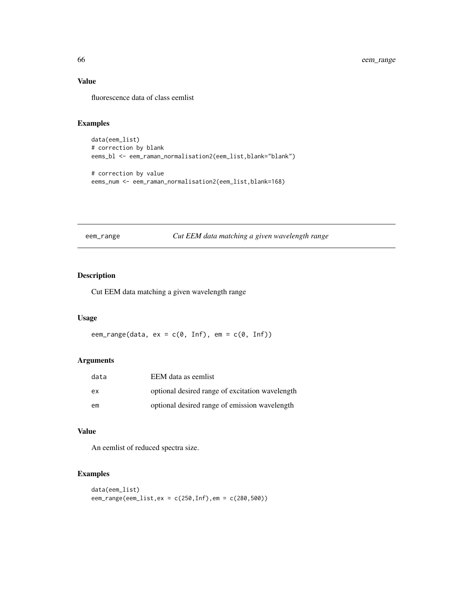# Value

fluorescence data of class eemlist

# Examples

```
data(eem_list)
# correction by blank
eems_bl <- eem_raman_normalisation2(eem_list,blank="blank")
# correction by value
```

```
eems_num <- eem_raman_normalisation2(eem_list,blank=168)
```
<span id="page-65-0"></span>eem\_range *Cut EEM data matching a given wavelength range*

## Description

Cut EEM data matching a given wavelength range

### Usage

eem\_range(data,  $ex = c(0, Inf)$ ,  $em = c(0, Inf)$ )

## Arguments

| data | EEM data as eemlist                             |
|------|-------------------------------------------------|
| ex   | optional desired range of excitation wavelength |
| em   | optional desired range of emission wavelength   |

# Value

An eemlist of reduced spectra size.

```
data(eem_list)
eem_range(eem_list,ex = c(250,Inf),em = c(280,500))
```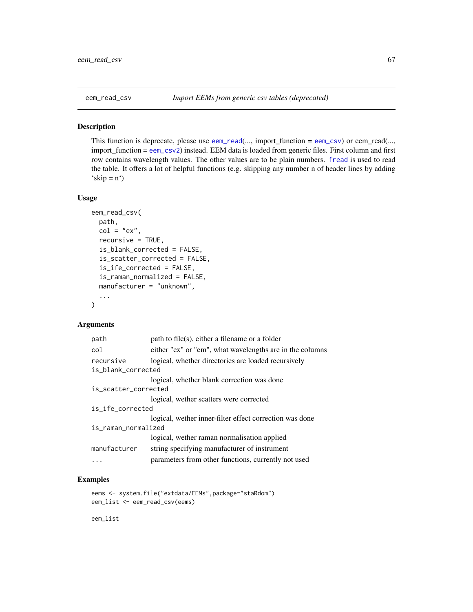This function is deprecate, please use [eem\\_read](#page-0-0)(..., import\_function = [eem\\_csv](#page-46-1)) or eem\_read(..., import\_function = [eem\\_csv2](#page-46-0)) instead. EEM data is loaded from generic files. First column and first row contains wavelength values. The other values are to be plain numbers. [fread](#page-0-0) is used to read the table. It offers a lot of helpful functions (e.g. skipping any number n of header lines by adding  $'\text{skip} = n')$ 

#### Usage

```
eem_read_csv(
  path,
  col = "ex",recursive = TRUE,
  is_blank_corrected = FALSE,
  is_scatter_corrected = FALSE,
  is_ife_corrected = FALSE,
  is_raman_normalized = FALSE,
 manufacturer = "unknown",
  ...
\mathcal{L}
```
#### Arguments

| path to file(s), either a filename or a folder                            |  |  |
|---------------------------------------------------------------------------|--|--|
| either "ex" or "em", what wavelengths are in the columns                  |  |  |
| logical, whether directories are loaded recursively<br>is_blank_corrected |  |  |
| logical, whether blank correction was done                                |  |  |
| is_scatter_corrected                                                      |  |  |
| logical, wether scatters were corrected                                   |  |  |
| is_ife_corrected                                                          |  |  |
| logical, wether inner-filter effect correction was done                   |  |  |
| is_raman_normalized                                                       |  |  |
| logical, wether raman normalisation applied                               |  |  |
| string specifying manufacturer of instrument                              |  |  |
| parameters from other functions, currently not used                       |  |  |
|                                                                           |  |  |

### Examples

```
eems <- system.file("extdata/EEMs",package="staRdom")
eem_list <- eem_read_csv(eems)
```
eem\_list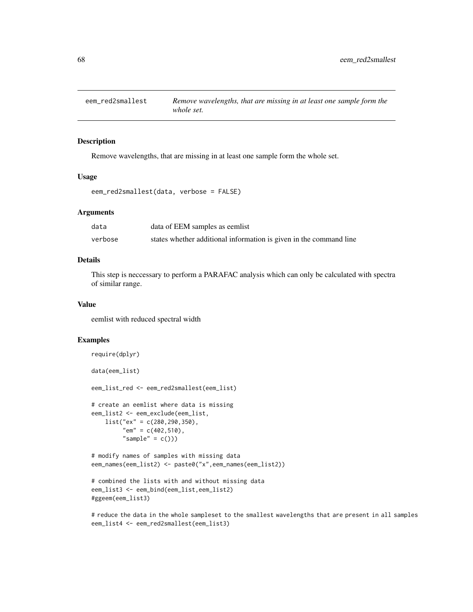Remove wavelengths, that are missing in at least one sample form the whole set.

#### Usage

```
eem_red2smallest(data, verbose = FALSE)
```
#### **Arguments**

| data    | data of EEM samples as eemlist                                     |
|---------|--------------------------------------------------------------------|
| verbose | states whether additional information is given in the command line |

# Details

This step is neccessary to perform a PARAFAC analysis which can only be calculated with spectra of similar range.

#### Value

eemlist with reduced spectral width

#### Examples

```
require(dplyr)
data(eem_list)
eem_list_red <- eem_red2smallest(eem_list)
# create an eemlist where data is missing
eem_list2 <- eem_exclude(eem_list,
   list("ex" = c(280, 290, 350),
         "em" = c(402, 510),
         "sample" = c()# modify names of samples with missing data
eem_names(eem_list2) <- paste0("x",eem_names(eem_list2))
# combined the lists with and without missing data
eem_list3 <- eem_bind(eem_list,eem_list2)
```
#ggeem(eem\_list3)

# reduce the data in the whole sampleset to the smallest wavelengths that are present in all samples eem\_list4 <- eem\_red2smallest(eem\_list3)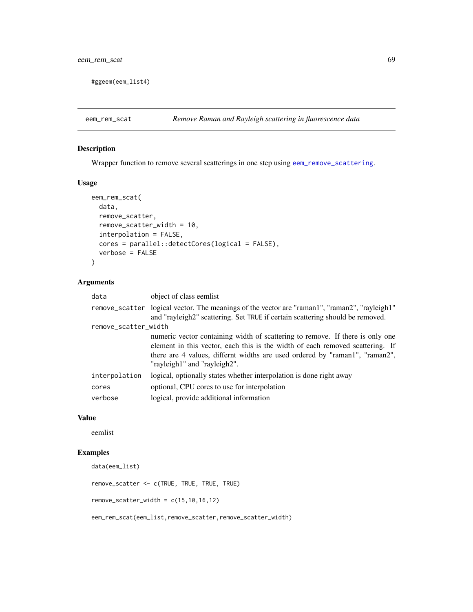#ggeem(eem\_list4)

## Description

Wrapper function to remove several scatterings in one step using [eem\\_remove\\_scattering](#page-0-0).

### Usage

```
eem_rem_scat(
 data,
 remove_scatter,
 remove_scatter_width = 10,
 interpolation = FALSE,
 cores = parallel::detectCores(logical = FALSE),
 verbose = FALSE
)
```
## Arguments

| data                 | object of class eemlist                                                                                                                                                                                                                                                       |
|----------------------|-------------------------------------------------------------------------------------------------------------------------------------------------------------------------------------------------------------------------------------------------------------------------------|
|                      | remove_scatter logical vector. The meanings of the vector are "raman1", "raman2", "rayleigh1"<br>and "rayleigh2" scattering. Set TRUE if certain scattering should be removed.                                                                                                |
| remove_scatter_width |                                                                                                                                                                                                                                                                               |
|                      | numeric vector containing width of scattering to remove. If there is only one<br>element in this vector, each this is the width of each removed scattering. If<br>there are 4 values, differnt widths are used ordered by "raman1", "raman2",<br>"rayleigh1" and "rayleigh2". |
| interpolation        | logical, optionally states whether interpolation is done right away                                                                                                                                                                                                           |
| cores                | optional, CPU cores to use for interpolation                                                                                                                                                                                                                                  |
| verbose              | logical, provide additional information                                                                                                                                                                                                                                       |

#### Value

eemlist

# Examples

```
data(eem_list)
```

```
remove_scatter <- c(TRUE, TRUE, TRUE, TRUE)
```

```
remove\_scatter\_width = c(15, 10, 16, 12)
```
eem\_rem\_scat(eem\_list,remove\_scatter,remove\_scatter\_width)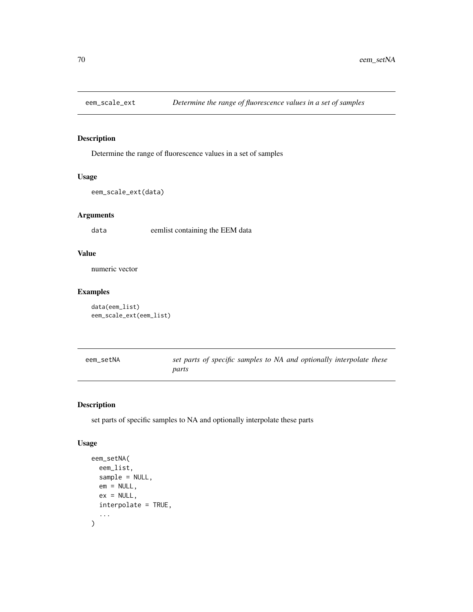Determine the range of fluorescence values in a set of samples

## Usage

```
eem_scale_ext(data)
```
# Arguments

data eemlist containing the EEM data

## Value

numeric vector

## Examples

```
data(eem_list)
eem_scale_ext(eem_list)
```

| eem setNA | set parts of specific samples to NA and optionally interpolate these |  |
|-----------|----------------------------------------------------------------------|--|
|           | parts                                                                |  |

# Description

set parts of specific samples to NA and optionally interpolate these parts

### Usage

```
eem_setNA(
 eem_list,
  sample = NULL,
 em = NULL,ex = NULL,interpolate = TRUE,
  ...
)
```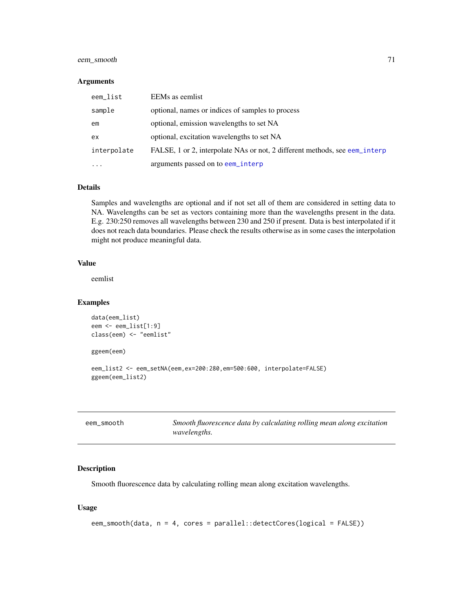## eem\_smooth 71

#### **Arguments**

| eem_list    | EEMs as eemlist                                                            |
|-------------|----------------------------------------------------------------------------|
| sample      | optional, names or indices of samples to process                           |
| em          | optional, emission wavelengths to set NA                                   |
| ex          | optional, excitation wavelengths to set NA                                 |
| interpolate | FALSE, 1 or 2, interpolate NAs or not, 2 different methods, see eem_interp |
| $\cdots$    | arguments passed on to eem_interp                                          |

### Details

Samples and wavelengths are optional and if not set all of them are considered in setting data to NA. Wavelengths can be set as vectors containing more than the wavelengths present in the data. E.g. 230:250 removes all wavelengths between 230 and 250 if present. Data is best interpolated if it does not reach data boundaries. Please check the results otherwise as in some cases the interpolation might not produce meaningful data.

### Value

eemlist

### Examples

```
data(eem_list)
eem <- eem_list[1:9]
class(eem) <- "eemlist"
ggeem(eem)
eem_list2 <- eem_setNA(eem,ex=200:280,em=500:600, interpolate=FALSE)
ggeem(eem_list2)
```

| eem_smooth | Smooth fluorescence data by calculating rolling mean along excitation |
|------------|-----------------------------------------------------------------------|
|            | <i>wavelengths.</i>                                                   |

### Description

Smooth fluorescence data by calculating rolling mean along excitation wavelengths.

# Usage

```
eem_smooth(data, n = 4, cores = parallel::detectCores(logical = FALSE))
```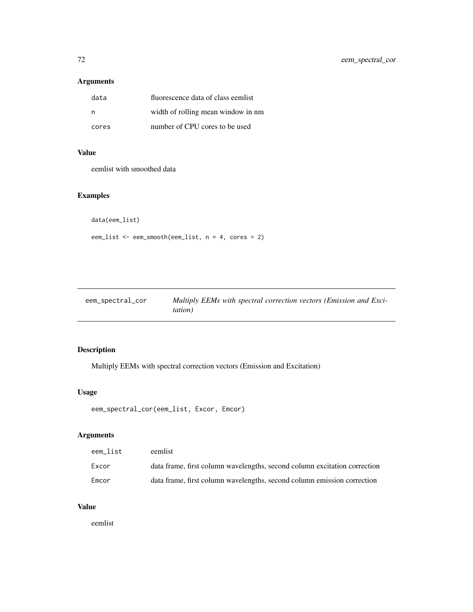# Arguments

| data  | fluorescence data of class eemlist |
|-------|------------------------------------|
| n     | width of rolling mean window in nm |
| cores | number of CPU cores to be used     |

# Value

eemlist with smoothed data

# Examples

```
data(eem_list)
```
eem\_list <- eem\_smooth(eem\_list, n = 4, cores = 2)

| eem_spectral_cor | Multiply EEMs with spectral correction vectors (Emission and Exci- |
|------------------|--------------------------------------------------------------------|
|                  | <i>tation</i> )                                                    |

# Description

Multiply EEMs with spectral correction vectors (Emission and Excitation)

# Usage

```
eem_spectral_cor(eem_list, Excor, Emcor)
```
# Arguments

| eem list | eemlist                                                                   |
|----------|---------------------------------------------------------------------------|
| Excor    | data frame, first column wavelengths, second column excitation correction |
| Emcor    | data frame, first column wavelengths, second column emission correction   |

# Value

eemlist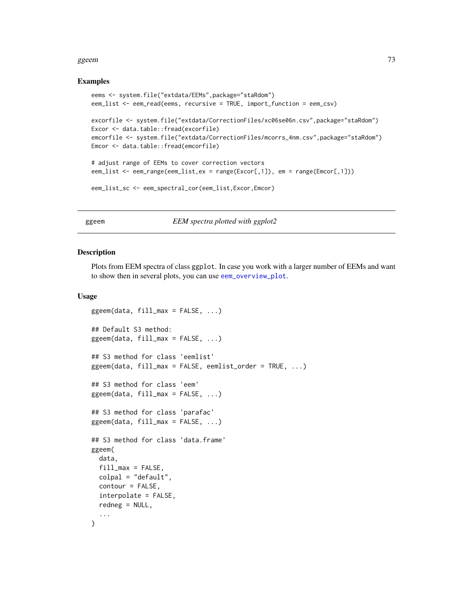#### <span id="page-72-0"></span>ggeem 23

#### Examples

```
eems <- system.file("extdata/EEMs",package="staRdom")
eem_list <- eem_read(eems, recursive = TRUE, import_function = eem_csv)
excorfile <- system.file("extdata/CorrectionFiles/xc06se06n.csv",package="staRdom")
Excor <- data.table::fread(excorfile)
emcorfile <- system.file("extdata/CorrectionFiles/mcorrs_4nm.csv",package="staRdom")
Emcor <- data.table::fread(emcorfile)
# adjust range of EEMs to cover correction vectors
eem_list <- eem_range(eem_list,ex = range(Excor[,1]), em = range(Emcor[,1]))
```

```
eem_list_sc <- eem_spectral_cor(eem_list,Excor,Emcor)
```
ggeem *EEM spectra plotted with ggplot2*

#### Description

Plots from EEM spectra of class ggplot. In case you work with a larger number of EEMs and want to show then in several plots, you can use [eem\\_overview\\_plot](#page-61-0).

#### Usage

```
ggeem(data, fill_max = FALSE, ...)
## Default S3 method:
ggeem(data, fill_max = FALSE, \ldots)
## S3 method for class 'eemlist'
ggeem(data, fill_max = FALSE, eemlist_order = TRUE, ...)
## S3 method for class 'eem'
ggeem(data, fill_max = FALSE, ...)
## S3 method for class 'parafac'
ggeem(data, fill_max = FALSE, \ldots)
## S3 method for class 'data.frame'
ggeem(
  data,
  fill\_max = FALSE,colpal = "default",
  contour = FALSE,
  interpolate = FALSE,
  redneg = NULL,...
)
```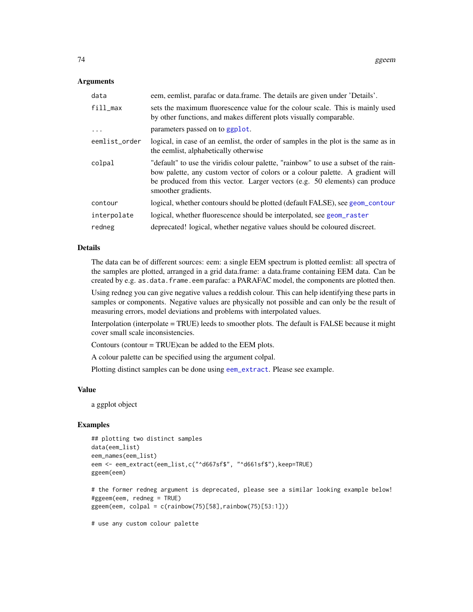#### <span id="page-73-0"></span>Arguments

| data          | eem, eemlist, parafac or data.frame. The details are given under 'Details'.                                                                                                                                                                                                |
|---------------|----------------------------------------------------------------------------------------------------------------------------------------------------------------------------------------------------------------------------------------------------------------------------|
| fill_max      | sets the maximum fluorescence value for the colour scale. This is mainly used<br>by other functions, and makes different plots visually comparable.                                                                                                                        |
| $\ddots$      | parameters passed on to ggplot.                                                                                                                                                                                                                                            |
| eemlist_order | logical, in case of an eemlist, the order of samples in the plot is the same as in<br>the eemlist, alphabetically otherwise                                                                                                                                                |
| colpal        | "default" to use the viridis colour palette, "rainbow" to use a subset of the rain-<br>bow palette, any custom vector of colors or a colour palette. A gradient will<br>be produced from this vector. Larger vectors (e.g. 50 elements) can produce<br>smoother gradients. |
| contour       | logical, whether contours should be plotted (default FALSE), see geom_contour                                                                                                                                                                                              |
| interpolate   | logical, whether fluorescence should be interpolated, see geom raster                                                                                                                                                                                                      |
| redneg        | deprecated! logical, whether negative values should be coloured discreet.                                                                                                                                                                                                  |

#### Details

The data can be of different sources: eem: a single EEM spectrum is plotted eemlist: all spectra of the samples are plotted, arranged in a grid data.frame: a data.frame containing EEM data. Can be created by e.g. as.data.frame.eem parafac: a PARAFAC model, the components are plotted then.

Using redneg you can give negative values a reddish colour. This can help identifying these parts in samples or components. Negative values are physically not possible and can only be the result of measuring errors, model deviations and problems with interpolated values.

Interpolation (interpolate = TRUE) leeds to smoother plots. The default is FALSE because it might cover small scale inconsistencies.

Contours (contour = TRUE)can be added to the EEM plots.

A colour palette can be specified using the argument colpal.

Plotting distinct samples can be done using [eem\\_extract](#page-0-0). Please see example.

#### Value

a ggplot object

# Examples

```
## plotting two distinct samples
data(eem_list)
eem_names(eem_list)
eem <- eem_extract(eem_list,c("^d667sf$", "^d661sf$"),keep=TRUE)
ggeem(eem)
```
# the former redneg argument is deprecated, please see a similar looking example below! #ggeem(eem, redneg = TRUE)  $g$ geem(eem, colpal = c(rainbow(75)[58],rainbow(75)[53:1]))

# use any custom colour palette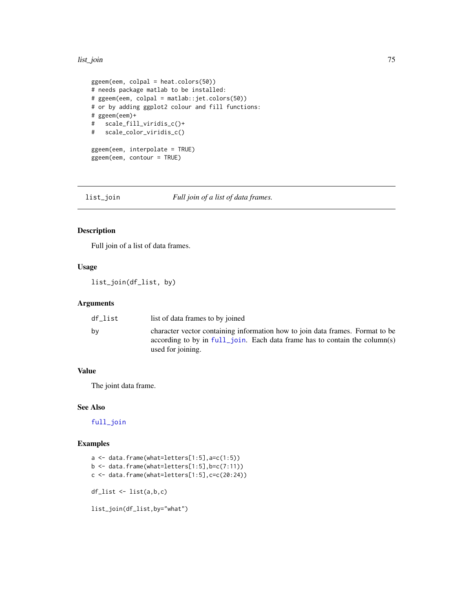#### <span id="page-74-0"></span>list\_join 75

```
ggeem(eem, colpal = heat.colors(50))
# needs package matlab to be installed:
# ggeem(eem, colpal = matlab::jet.colors(50))
# or by adding ggplot2 colour and fill functions:
# ggeem(eem)+
# scale_fill_viridis_c()+
# scale_color_viridis_c()
ggeem(eem, interpolate = TRUE)
ggeem(eem, contour = TRUE)
```
list\_join *Full join of a list of data frames.*

# Description

Full join of a list of data frames.

# Usage

list\_join(df\_list, by)

#### Arguments

| df list | list of data frames to by joined                                                                                                                                                 |
|---------|----------------------------------------------------------------------------------------------------------------------------------------------------------------------------------|
| bv      | character vector containing information how to join data frames. Format to be<br>according to by in full join. Each data frame has to contain the column(s)<br>used for joining. |

#### Value

The joint data frame.

#### See Also

[full\\_join](#page-0-0)

```
a <- data.frame(what=letters[1:5],a=c(1:5))
b \leftarrow data . frame(what=letters[1:5], b=c(7:11))c \leftarrow data.frame(what=letters[1:5], c = c(20:24))
df_list <- list(a,b,c)
list_join(df_list,by="what")
```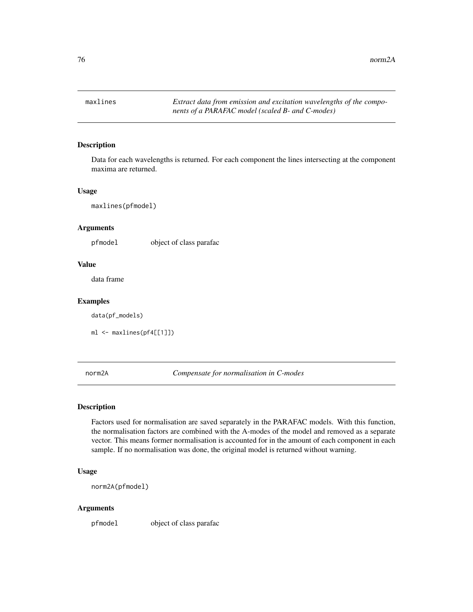<span id="page-75-1"></span> $76$  norm2A

<span id="page-75-0"></span>

#### Description

Data for each wavelengths is returned. For each component the lines intersecting at the component maxima are returned.

#### Usage

maxlines(pfmodel)

#### Arguments

pfmodel object of class parafac

#### Value

data frame

#### Examples

data(pf\_models)

ml <- maxlines(pf4[[1]])

norm2A *Compensate for normalisation in C-modes*

#### Description

Factors used for normalisation are saved separately in the PARAFAC models. With this function, the normalisation factors are combined with the A-modes of the model and removed as a separate vector. This means former normalisation is accounted for in the amount of each component in each sample. If no normalisation was done, the original model is returned without warning.

#### Usage

norm2A(pfmodel)

#### Arguments

pfmodel object of class parafac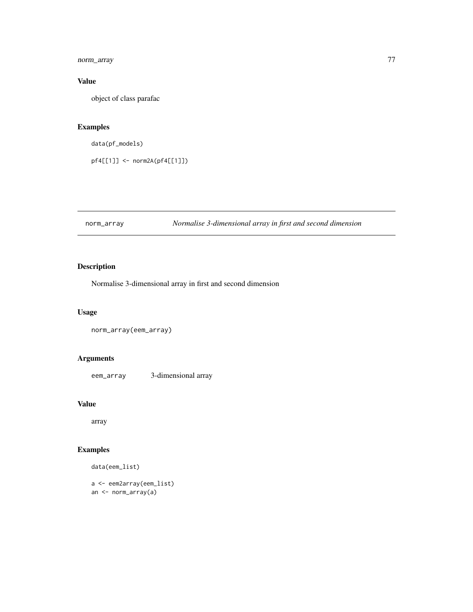<span id="page-76-0"></span>norm\_array 77

# Value

object of class parafac

# Examples

```
data(pf_models)
```
pf4[[1]] <- norm2A(pf4[[1]])

# norm\_array *Normalise 3-dimensional array in first and second dimension*

# Description

Normalise 3-dimensional array in first and second dimension

# Usage

```
norm_array(eem_array)
```
# Arguments

eem\_array 3-dimensional array

#### Value

array

# Examples

data(eem\_list)

a <- eem2array(eem\_list) an <- norm\_array(a)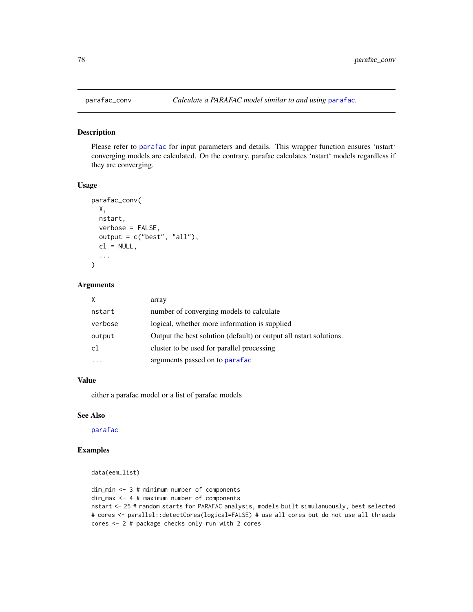Please refer to [parafac](#page-0-0) for input parameters and details. This wrapper function ensures 'nstart' converging models are calculated. On the contrary, parafac calculates 'nstart' models regardless if they are converging.

#### Usage

```
parafac_conv(
 X,
 nstart,
 verbose = FALSE,
 output = c("best", "all"),
 cl = NULL,...
)
```
# Arguments

| X            | array                                                              |
|--------------|--------------------------------------------------------------------|
| nstart       | number of converging models to calculate                           |
| verbose      | logical, whether more information is supplied                      |
| output       | Output the best solution (default) or output all nature solutions. |
| $\mathsf{c}$ | cluster to be used for parallel processing                         |
|              | arguments passed on to parafac                                     |

#### Value

either a parafac model or a list of parafac models

#### See Also

### [parafac](#page-0-0)

```
data(eem_list)
```

```
dim_min <- 3 # minimum number of components
dim_max <- 4 # maximum number of components
nstart <- 25 # random starts for PARAFAC analysis, models built simulanuously, best selected
# cores <- parallel::detectCores(logical=FALSE) # use all cores but do not use all threads
cores <- 2 # package checks only run with 2 cores
```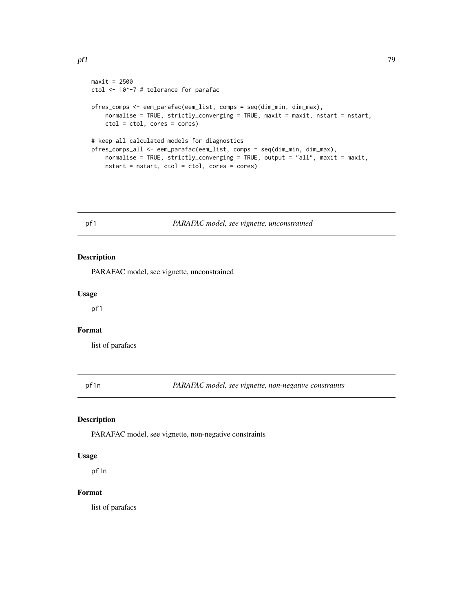```
maxit = 2500ctol <- 10^-7 # tolerance for parafac
pfres_comps <- eem_parafac(eem_list, comps = seq(dim_min, dim_max),
   normalise = TRUE, strictly_converging = TRUE, maxit = maxit, nstart = nstart,
   ctol = ctol, cores = cores)
# keep all calculated models for diagnostics
pfres_comps_all <- eem_parafac(eem_list, comps = seq(dim_min, dim_max),
   normalise = TRUE, strictly_converging = TRUE, output = "all", maxit = maxit,
   nstart = nstart, ctol = ctol, cores = cores)
```
# pf1 *PARAFAC model, see vignette, unconstrained*

#### Description

PARAFAC model, see vignette, unconstrained

#### Usage

pf1

# Format

list of parafacs

pf1n *PARAFAC model, see vignette, non-negative constraints*

#### Description

PARAFAC model, see vignette, non-negative constraints

#### Usage

pf1n

#### Format

list of parafacs

<span id="page-78-0"></span> $p f 1$  79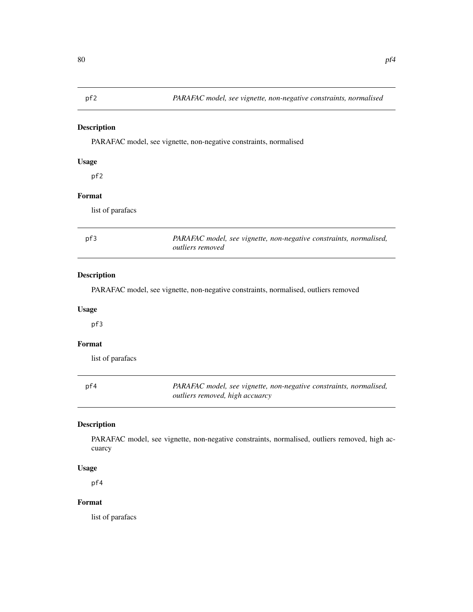<span id="page-79-0"></span>PARAFAC model, see vignette, non-negative constraints, normalised

# Usage

pf2

# Format

list of parafacs

| pf3 | PARAFAC model, see vignette, non-negative constraints, normalised, |
|-----|--------------------------------------------------------------------|
|     | <i>outliers removed</i>                                            |

#### Description

PARAFAC model, see vignette, non-negative constraints, normalised, outliers removed

# Usage

pf3

# Format

list of parafacs

| pf4 | PARAFAC model, see vignette, non-negative constraints, normalised, |
|-----|--------------------------------------------------------------------|
|     | <i>outliers removed, high accuarcy</i>                             |

# Description

PARAFAC model, see vignette, non-negative constraints, normalised, outliers removed, high accuarcy

#### Usage

pf4

# Format

list of parafacs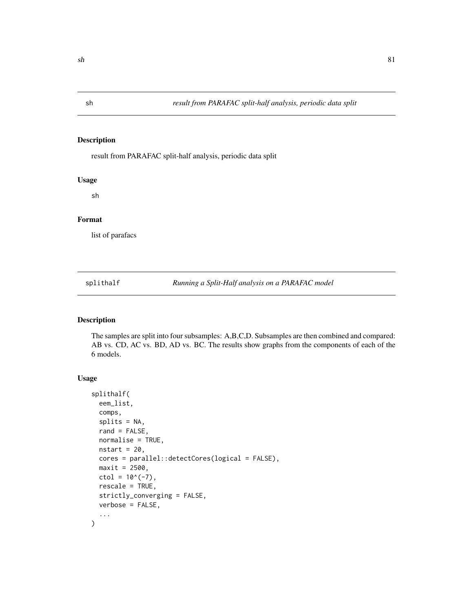<span id="page-80-1"></span>

result from PARAFAC split-half analysis, periodic data split

#### Usage

sh

#### Format

list of parafacs

<span id="page-80-0"></span>splithalf *Running a Split-Half analysis on a PARAFAC model*

# Description

The samples are split into four subsamples: A,B,C,D. Subsamples are then combined and compared: AB vs. CD, AC vs. BD, AD vs. BC. The results show graphs from the components of each of the 6 models.

# Usage

```
splithalf(
  eem_list,
 comps,
  splits = NA,
  rand = FALSE,normalise = TRUE,
 nstart = 20,
  cores = parallel::detectCores(logical = FALSE),
 maxit = 2500,
 ctol = 10^(-7),
  rescale = TRUE,
  strictly_converging = FALSE,
 verbose = FALSE,
  ...
)
```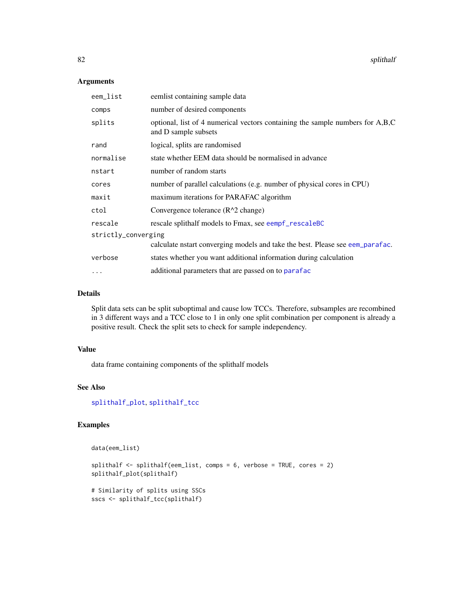#### Arguments

| eem_list            | eemlist containing sample data                                                                        |
|---------------------|-------------------------------------------------------------------------------------------------------|
| comps               | number of desired components                                                                          |
| splits              | optional, list of 4 numerical vectors containing the sample numbers for A,B,C<br>and D sample subsets |
| rand                | logical, splits are randomised                                                                        |
| normalise           | state whether EEM data should be normalised in advance                                                |
| nstart              | number of random starts                                                                               |
| cores               | number of parallel calculations (e.g. number of physical cores in CPU)                                |
| maxit               | maximum iterations for PARAFAC algorithm                                                              |
| ctol                | Convergence tolerance $(R^2 \cap \text{change})$                                                      |
| rescale             | rescale splithalf models to Fmax, see eempf_rescaleBC                                                 |
| strictly_converging |                                                                                                       |
|                     | calculate nstart converging models and take the best. Please see eem_parafac.                         |
| verbose             | states whether you want additional information during calculation                                     |
| $\cdots$            | additional parameters that are passed on to parafac                                                   |

# Details

Split data sets can be split suboptimal and cause low TCCs. Therefore, subsamples are recombined in 3 different ways and a TCC close to 1 in only one split combination per component is already a positive result. Check the split sets to check for sample independency.

# Value

data frame containing components of the splithalf models

# See Also

[splithalf\\_plot](#page-82-0), [splithalf\\_tcc](#page-83-0)

```
data(eem_list)
```

```
splithalf \le splithalf(eem_list, comps = 6, verbose = TRUE, cores = 2)
splithalf_plot(splithalf)
```

```
# Similarity of splits using SSCs
sscs <- splithalf_tcc(splithalf)
```
<span id="page-81-0"></span>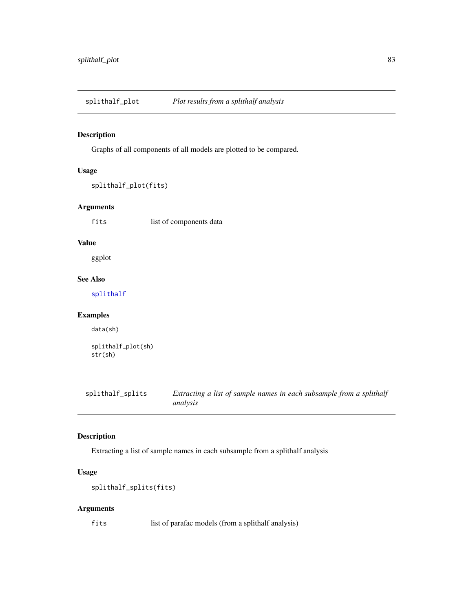<span id="page-82-1"></span><span id="page-82-0"></span>splithalf\_plot *Plot results from a splithalf analysis*

# Description

Graphs of all components of all models are plotted to be compared.

# Usage

```
splithalf_plot(fits)
```
## Arguments

fits list of components data

#### Value

ggplot

#### See Also

[splithalf](#page-80-0)

# Examples

data(sh)

```
splithalf_plot(sh)
str(sh)
```
splithalf\_splits *Extracting a list of sample names in each subsample from a splithalf analysis*

# Description

Extracting a list of sample names in each subsample from a splithalf analysis

# Usage

```
splithalf_splits(fits)
```
# Arguments

fits list of parafac models (from a splithalf analysis)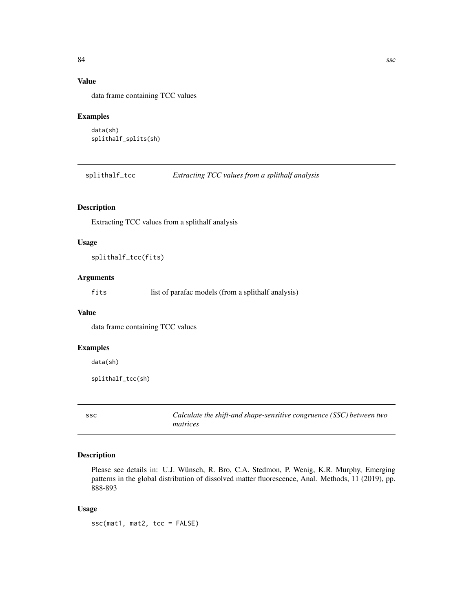# <span id="page-83-1"></span>Value

data frame containing TCC values

#### Examples

```
data(sh)
splithalf_splits(sh)
```
<span id="page-83-0"></span>splithalf\_tcc *Extracting TCC values from a splithalf analysis*

#### Description

Extracting TCC values from a splithalf analysis

#### Usage

splithalf\_tcc(fits)

#### Arguments

fits list of parafac models (from a splithalf analysis)

#### Value

data frame containing TCC values

# Examples

data(sh)

```
splithalf_tcc(sh)
```
ssc *Calculate the shift-and shape-sensitive congruence (SSC) between two matrices*

#### Description

Please see details in: U.J. Wünsch, R. Bro, C.A. Stedmon, P. Wenig, K.R. Murphy, Emerging patterns in the global distribution of dissolved matter fluorescence, Anal. Methods, 11 (2019), pp. 888-893

#### Usage

ssc(mat1, mat2, tcc = FALSE)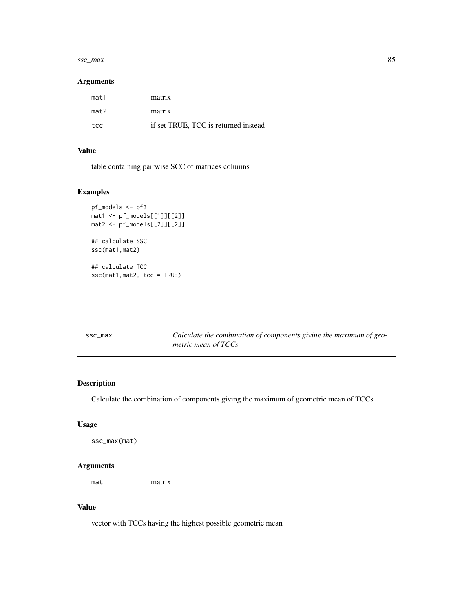#### <span id="page-84-0"></span>ssc\_max 85

#### Arguments

| mat1 | matrix                               |
|------|--------------------------------------|
| mat2 | matrix                               |
| t.cc | if set TRUE, TCC is returned instead |

# Value

table containing pairwise SCC of matrices columns

# Examples

```
pf_models <- pf3
mat1 <- pf_models[[1]][[2]]
mat2 <- pf_models[[2]][[2]]
## calculate SSC
ssc(mat1,mat2)
## calculate TCC
ssc(mat1,mat2, tcc = TRUE)
```

| ssc_max | Calculate the combination of components giving the maximum of geo- |
|---------|--------------------------------------------------------------------|
|         | metric mean of TCCs                                                |

# Description

Calculate the combination of components giving the maximum of geometric mean of TCCs

# Usage

ssc\_max(mat)

# Arguments

mat matrix

# Value

vector with TCCs having the highest possible geometric mean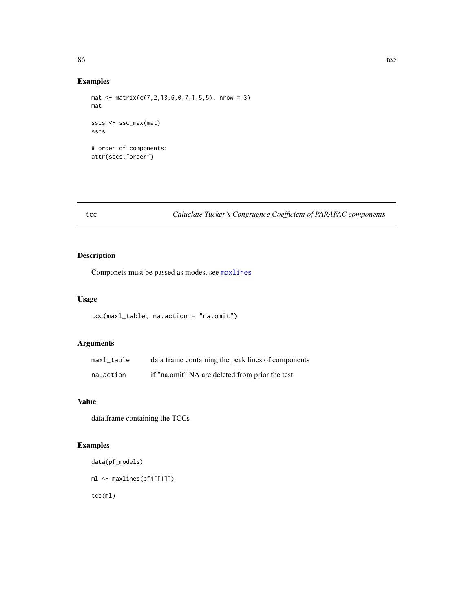# <span id="page-85-0"></span>Examples

```
mat <- matrix(c(7, 2, 13, 6, 0, 7, 1, 5, 5), nrow = 3)
mat
sscs <- ssc_max(mat)
sscs
# order of components:
attr(sscs,"order")
```
# tcc *Caluclate Tucker's Congruence Coefficient of PARAFAC components*

# Description

Componets must be passed as modes, see [maxlines](#page-75-0)

# Usage

```
tcc(maxl_table, na.action = "na.omit")
```
# Arguments

| maxl table | data frame containing the peak lines of components |
|------------|----------------------------------------------------|
| na.action  | if "na.omit" NA are deleted from prior the test    |

# Value

data.frame containing the TCCs

```
data(pf_models)
ml <- maxlines(pf4[[1]])
tcc(ml)
```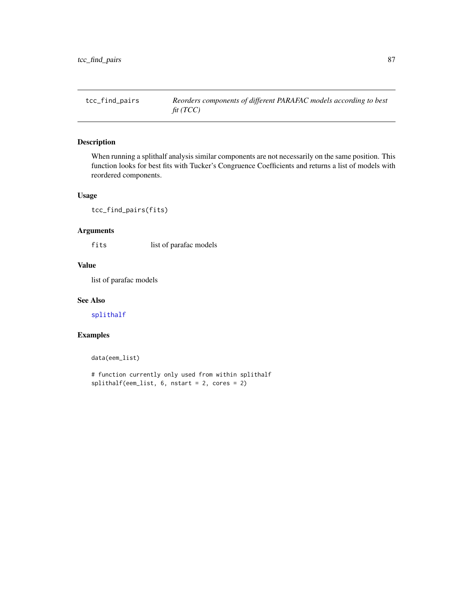<span id="page-86-0"></span>

When running a splithalf analysis similar components are not necessarily on the same position. This function looks for best fits with Tucker's Congruence Coefficients and returns a list of models with reordered components.

#### Usage

tcc\_find\_pairs(fits)

# Arguments

fits list of parafac models

#### Value

list of parafac models

#### See Also

[splithalf](#page-80-0)

# Examples

data(eem\_list)

# function currently only used from within splithalf splithalf(eem\_list, 6, nstart = 2, cores = 2)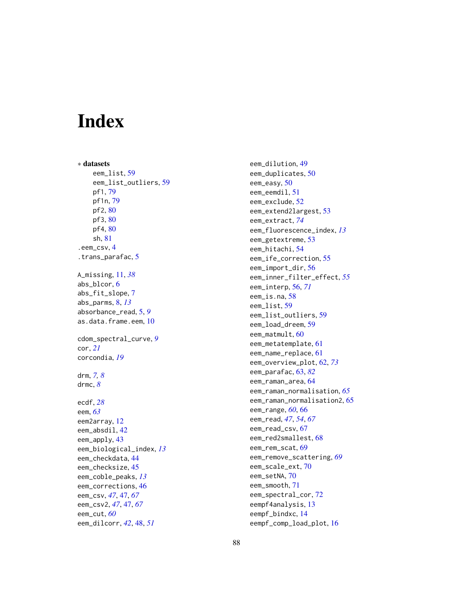# Index

```
∗ datasets
    eem_list
, 59
    eem_list_outliers
, 59
    pf1
, 79
    pf1n
, 79
    80
    80
    pf4
, 80
    sh
, 81
.eem_csv
,
4
.trans_parafac
,
5
A_missing
, 11
, 38
abs_blcor
,
6
abs_fit_slope
,
7
abs_parms
,
8
, 13
absorbance_read
,
5
,
9
10
cdom_spectral_curve
,
9
cor
, 21
corcondia
, 19
drm
,
7,
8
drmc
,
8
ecdf
, 28
eem
, 63
eem2array
, 12
eem_absdil
, 42
43
eem_biological_index
, 13
eem_checkdata
, 44
45
eem_coble_peaks
, 13
eem_corrections
, 46
eem_csv
, 47
, 47
, 67
eem_csv2
, 47
, 47
, 67
eem_cut
, 60
eem_dilcorr
, 42
, 48
, 51
```
eem\_dilution , [49](#page-48-0) eem\_duplicates , [50](#page-49-0) eem\_easy, [50](#page-49-0) eem\_eemdil , [51](#page-50-0) eem\_exclude , [52](#page-51-0) eem\_extend2largest , [53](#page-52-0) eem\_extract , *[74](#page-73-0)* eem\_fluorescence\_index , *[13](#page-12-0)* eem\_getextreme , [53](#page-52-0) eem\_hitachi , [54](#page-53-0) eem\_ife\_correction , [55](#page-54-0) eem\_import\_dir , [56](#page-55-0) eem\_inner\_filter\_effect , *[55](#page-54-0)* eem\_interp , [56](#page-55-0) , *[71](#page-70-0)* eem\_is.na , [58](#page-57-0) eem\_list , [59](#page-58-0) eem\_list\_outliers , [59](#page-58-0) eem\_load\_dreem , [59](#page-58-0) eem\_matmult, [60](#page-59-0) eem\_metatemplate , [61](#page-60-0) eem\_name\_replace , [61](#page-60-0) eem\_overview\_plot , [62](#page-61-1) , *[73](#page-72-0)* eem\_parafac , [63](#page-62-1) , *[82](#page-81-0)* eem\_raman\_area , [64](#page-63-0) eem\_raman\_normalisation , *[65](#page-64-0)* eem\_raman\_normalisation2 , [65](#page-64-0) eem\_range , *[60](#page-59-0)* , [66](#page-65-0) eem\_read , *[47](#page-46-0)* , *[54](#page-53-0)* , *[67](#page-66-0)* eem\_read\_csv, [67](#page-66-0) eem\_red2smallest , [68](#page-67-0) eem\_rem\_scat , [69](#page-68-0) eem\_remove\_scattering , *[69](#page-68-0)* eem\_scale\_ext , [70](#page-69-0) eem\_setNA , [70](#page-69-0) eem\_smooth , [71](#page-70-0) eem\_spectral\_cor , [72](#page-71-0) eempf4analysis , [13](#page-12-0) eempf\_bindxc , [14](#page-13-0) eempf\_comp\_load\_plot, [16](#page-15-0)